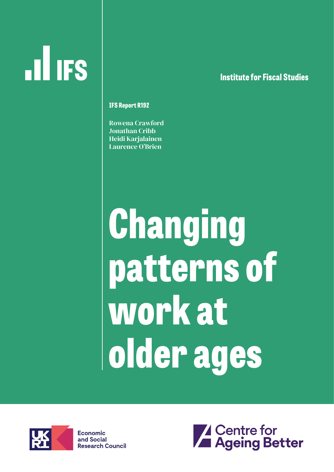# **ILL IFS**

#### **lnstitute for Fiscal Studies**

**IFS ReportR192**

Rowena Crawford Jonathan Cribb Heidi Karjalainen Laurence O'Brien

# **Changing patterns of work at older ages**



**Economic** and Social **Research Council** 

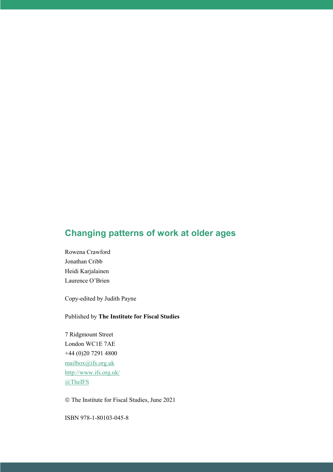#### **Changing patterns of work at older ages**

Rowena Crawford Jonathan Cribb Heidi Karjalainen Laurence O'Brien

Copy-edited by Judith Payne

Published by **The Institute for Fiscal Studies**

7 Ridgmount Street London WC1E 7AE +44 (0)20 7291 4800 [mailbox@ifs.org.uk](mailto:mailbox@ifs.org.uk) <http://www.ifs.org.uk/> [@TheIFS](https://twitter.com/theifs)

The Institute for Fiscal Studies, June 2021

ISBN 978-1-80103-045-8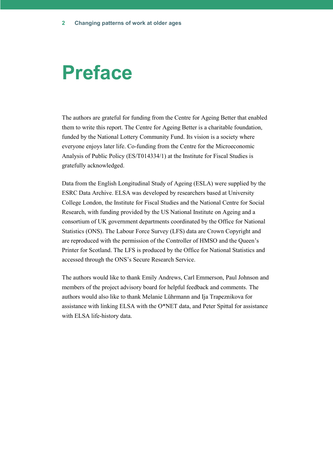## **Preface**

The authors are grateful for funding from the Centre for Ageing Better that enabled them to write this report. The Centre for Ageing Better is a charitable foundation, funded by the National Lottery Community Fund. Its vision is a society where everyone enjoys later life. Co-funding from the Centre for the Microeconomic Analysis of Public Policy (ES/T014334/1) at the Institute for Fiscal Studies is gratefully acknowledged.

Data from the English Longitudinal Study of Ageing (ESLA) were supplied by the ESRC Data Archive. ELSA was developed by researchers based at University College London, the Institute for Fiscal Studies and the National Centre for Social Research, with funding provided by the US National Institute on Ageing and a consortium of UK government departments coordinated by the Office for National Statistics (ONS). The Labour Force Survey (LFS) data are Crown Copyright and are reproduced with the permission of the Controller of HMSO and the Queen's Printer for Scotland. The LFS is produced by the Office for National Statistics and accessed through the ONS's Secure Research Service.

The authors would like to thank Emily Andrews, Carl Emmerson, Paul Johnson and members of the project advisory board for helpful feedback and comments. The authors would also like to thank Melanie Lührmann and Ija Trapeznikova for assistance with linking ELSA with the O\*NET data, and Peter Spittal for assistance with ELSA life-history data.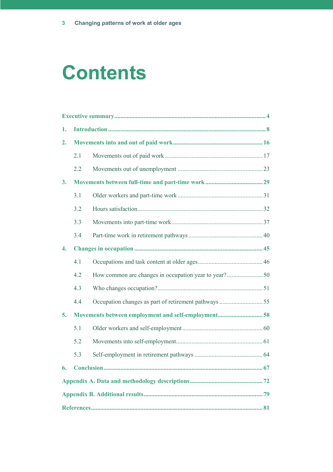# **Contents**

| 1.               |     |  |  |
|------------------|-----|--|--|
| 2.               |     |  |  |
|                  | 2.1 |  |  |
|                  | 2.2 |  |  |
| 3.               |     |  |  |
|                  | 3.1 |  |  |
|                  | 3.2 |  |  |
|                  | 3.3 |  |  |
|                  | 3.4 |  |  |
| $\overline{4}$ . |     |  |  |
|                  | 4.1 |  |  |
|                  | 4.2 |  |  |
|                  | 4.3 |  |  |
|                  | 4.4 |  |  |
| 5.               |     |  |  |
|                  | 5.1 |  |  |
|                  | 5.2 |  |  |
|                  | 5.3 |  |  |
| 6.               |     |  |  |
|                  |     |  |  |
|                  |     |  |  |
|                  |     |  |  |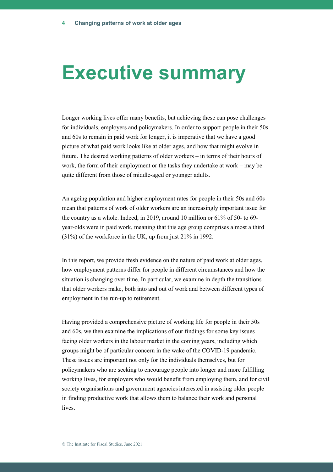## **Executive summary**

Longer working lives offer many benefits, but achieving these can pose challenges for individuals, employers and policymakers. In order to support people in their 50s and 60s to remain in paid work for longer, it is imperative that we have a good picture of what paid work looks like at older ages, and how that might evolve in future. The desired working patterns of older workers – in terms of their hours of work, the form of their employment or the tasks they undertake at work – may be quite different from those of middle-aged or younger adults.

An ageing population and higher employment rates for people in their 50s and 60s mean that patterns of work of older workers are an increasingly important issue for the country as a whole. Indeed, in 2019, around 10 million or 61% of 50- to 69 year-olds were in paid work, meaning that this age group comprises almost a third (31%) of the workforce in the UK, up from just 21% in 1992.

In this report, we provide fresh evidence on the nature of paid work at older ages, how employment patterns differ for people in different circumstances and how the situation is changing over time. In particular, we examine in depth the transitions that older workers make, both into and out of work and between different types of employment in the run-up to retirement.

Having provided a comprehensive picture of working life for people in their 50s and 60s, we then examine the implications of our findings for some key issues facing older workers in the labour market in the coming years, including which groups might be of particular concern in the wake of the COVID-19 pandemic. These issues are important not only for the individuals themselves, but for policymakers who are seeking to encourage people into longer and more fulfilling working lives, for employers who would benefit from employing them, and for civil society organisations and government agencies interested in assisting older people in finding productive work that allows them to balance their work and personal lives.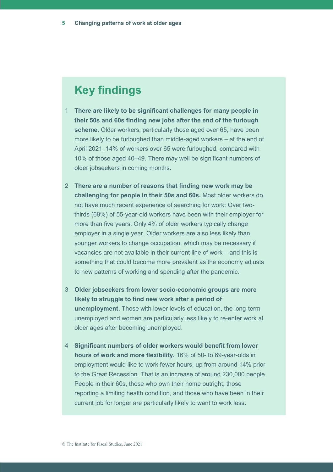### **Key findings**

- 1 **There are likely to be significant challenges for many people in their 50s and 60s finding new jobs after the end of the furlough scheme.** Older workers, particularly those aged over 65, have been more likely to be furloughed than middle-aged workers – at the end of April 2021, 14% of workers over 65 were furloughed, compared with 10% of those aged 40–49. There may well be significant numbers of older jobseekers in coming months.
- 2 **There are a number of reasons that finding new work may be challenging for people in their 50s and 60s.** Most older workers do not have much recent experience of searching for work: Over twothirds (69%) of 55-year-old workers have been with their employer for more than five years. Only 4% of older workers typically change employer in a single year. Older workers are also less likely than younger workers to change occupation, which may be necessary if vacancies are not available in their current line of work – and this is something that could become more prevalent as the economy adjusts to new patterns of working and spending after the pandemic.
- 3 **Older jobseekers from lower socio-economic groups are more likely to struggle to find new work after a period of unemployment.** Those with lower levels of education, the long-term unemployed and women are particularly less likely to re-enter work at older ages after becoming unemployed.
- 4 **Significant numbers of older workers would benefit from lower hours of work and more flexibility.** 16% of 50- to 69-year-olds in employment would like to work fewer hours, up from around 14% prior to the Great Recession. That is an increase of around 230,000 people. People in their 60s, those who own their home outright, those reporting a limiting health condition, and those who have been in their current job for longer are particularly likely to want to work less.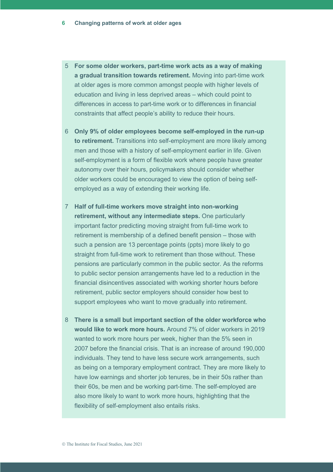- 5 **For some older workers, part-time work acts as a way of making a gradual transition towards retirement.** Moving into part-time work at older ages is more common amongst people with higher levels of education and living in less deprived areas – which could point to differences in access to part-time work or to differences in financial constraints that affect people's ability to reduce their hours.
- 6 **Only 9% of older employees become self-employed in the run-up to retirement.** Transitions into self-employment are more likely among men and those with a history of self-employment earlier in life. Given self-employment is a form of flexible work where people have greater autonomy over their hours, policymakers should consider whether older workers could be encouraged to view the option of being selfemployed as a way of extending their working life.
- 7 **Half of full-time workers move straight into non-working retirement, without any intermediate steps.** One particularly important factor predicting moving straight from full-time work to retirement is membership of a defined benefit pension – those with such a pension are 13 percentage points (ppts) more likely to go straight from full-time work to retirement than those without. These pensions are particularly common in the public sector. As the reforms to public sector pension arrangements have led to a reduction in the financial disincentives associated with working shorter hours before retirement, public sector employers should consider how best to support employees who want to move gradually into retirement.
- 8 **There is a small but important section of the older workforce who would like to work more hours.** Around 7% of older workers in 2019 wanted to work more hours per week, higher than the 5% seen in 2007 before the financial crisis. That is an increase of around 190,000 individuals. They tend to have less secure work arrangements, such as being on a temporary employment contract. They are more likely to have low earnings and shorter job tenures, be in their 50s rather than their 60s, be men and be working part-time. The self-employed are also more likely to want to work more hours, highlighting that the flexibility of self-employment also entails risks.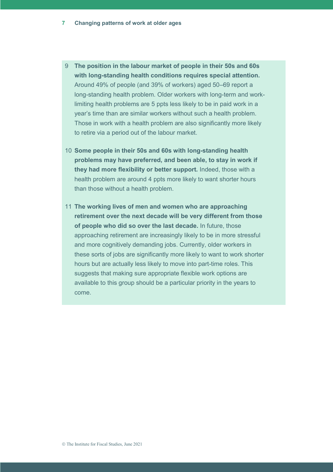- 9 **The position in the labour market of people in their 50s and 60s with long-standing health conditions requires special attention.** Around 49% of people (and 39% of workers) aged 50–69 report a long-standing health problem. Older workers with long-term and worklimiting health problems are 5 ppts less likely to be in paid work in a year's time than are similar workers without such a health problem. Those in work with a health problem are also significantly more likely to retire via a period out of the labour market.
- 10 **Some people in their 50s and 60s with long-standing health problems may have preferred, and been able, to stay in work if they had more flexibility or better support.** Indeed, those with a health problem are around 4 ppts more likely to want shorter hours than those without a health problem.
- 11 **The working lives of men and women who are approaching retirement over the next decade will be very different from those of people who did so over the last decade.** In future, those approaching retirement are increasingly likely to be in more stressful and more cognitively demanding jobs. Currently, older workers in these sorts of jobs are significantly more likely to want to work shorter hours but are actually less likely to move into part-time roles. This suggests that making sure appropriate flexible work options are available to this group should be a particular priority in the years to come.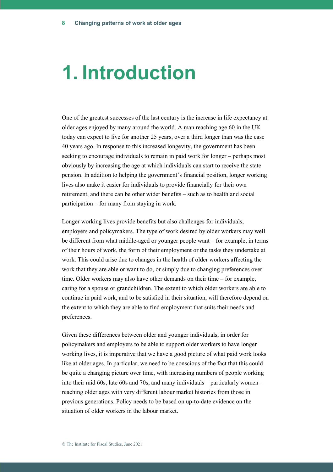## **1. Introduction**

One of the greatest successes of the last century is the increase in life expectancy at older ages enjoyed by many around the world. A man reaching age 60 in the UK today can expect to live for another 25 years, over a third longer than was the case 40 years ago. In response to this increased longevity, the government has been seeking to encourage individuals to remain in paid work for longer – perhaps most obviously by increasing the age at which individuals can start to receive the state pension. In addition to helping the government's financial position, longer working lives also make it easier for individuals to provide financially for their own retirement, and there can be other wider benefits – such as to health and social participation – for many from staying in work.

Longer working lives provide benefits but also challenges for individuals, employers and policymakers. The type of work desired by older workers may well be different from what middle-aged or younger people want – for example, in terms of their hours of work, the form of their employment or the tasks they undertake at work. This could arise due to changes in the health of older workers affecting the work that they are able or want to do, or simply due to changing preferences over time. Older workers may also have other demands on their time – for example, caring for a spouse or grandchildren. The extent to which older workers are able to continue in paid work, and to be satisfied in their situation, will therefore depend on the extent to which they are able to find employment that suits their needs and preferences.

Given these differences between older and younger individuals, in order for policymakers and employers to be able to support older workers to have longer working lives, it is imperative that we have a good picture of what paid work looks like at older ages. In particular, we need to be conscious of the fact that this could be quite a changing picture over time, with increasing numbers of people working into their mid 60s, late 60s and 70s, and many individuals – particularly women – reaching older ages with very different labour market histories from those in previous generations. Policy needs to be based on up-to-date evidence on the situation of older workers in the labour market.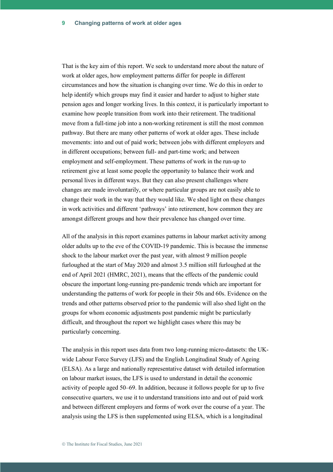That is the key aim of this report. We seek to understand more about the nature of work at older ages, how employment patterns differ for people in different circumstances and how the situation is changing over time. We do this in order to help identify which groups may find it easier and harder to adjust to higher state pension ages and longer working lives. In this context, it is particularly important to examine how people transition from work into their retirement. The traditional move from a full-time job into a non-working retirement is still the most common pathway. But there are many other patterns of work at older ages. These include movements: into and out of paid work; between jobs with different employers and in different occupations; between full- and part-time work; and between employment and self-employment. These patterns of work in the run-up to retirement give at least some people the opportunity to balance their work and personal lives in different ways. But they can also present challenges where changes are made involuntarily, or where particular groups are not easily able to change their work in the way that they would like. We shed light on these changes in work activities and different 'pathways' into retirement, how common they are amongst different groups and how their prevalence has changed over time.

All of the analysis in this report examines patterns in labour market activity among older adults up to the eve of the COVID-19 pandemic. This is because the immense shock to the labour market over the past year, with almost 9 million people furloughed at the start of May 2020 and almost 3.5 million still furloughed at the end of April 2021 (HMRC, 2021), means that the effects of the pandemic could obscure the important long-running pre-pandemic trends which are important for understanding the patterns of work for people in their 50s and 60s. Evidence on the trends and other patterns observed prior to the pandemic will also shed light on the groups for whom economic adjustments post pandemic might be particularly difficult, and throughout the report we highlight cases where this may be particularly concerning.

The analysis in this report uses data from two long-running micro-datasets: the UKwide Labour Force Survey (LFS) and the English Longitudinal Study of Ageing (ELSA). As a large and nationally representative dataset with detailed information on labour market issues, the LFS is used to understand in detail the economic activity of people aged 50–69. In addition, because it follows people for up to five consecutive quarters, we use it to understand transitions into and out of paid work and between different employers and forms of work over the course of a year. The analysis using the LFS is then supplemented using ELSA, which is a longitudinal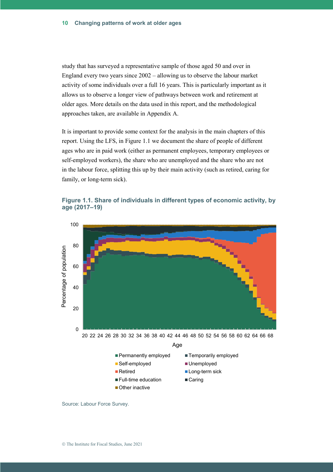study that has surveyed a representative sample of those aged 50 and over in England every two years since 2002 – allowing us to observe the labour market activity of some individuals over a full 16 years. This is particularly important as it allows us to observe a longer view of pathways between work and retirement at older ages. More details on the data used in this report, and the methodological approaches taken, are available in Appendix A.

It is important to provide some context for the analysis in the main chapters of this report. Using the LFS, in Figure 1.1 we document the share of people of different ages who are in paid work (either as permanent employees, temporary employees or self-employed workers), the share who are unemployed and the share who are not in the labour force, splitting this up by their main activity (such as retired, caring for family, or long-term sick).

**Figure 1.1. Share of individuals in different types of economic activity, by age (2017–19)**



Source: Labour Force Survey.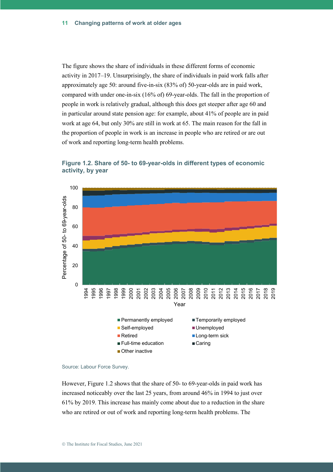The figure shows the share of individuals in these different forms of economic activity in 2017–19. Unsurprisingly, the share of individuals in paid work falls after approximately age 50: around five-in-six (83% of) 50-year-olds are in paid work, compared with under one-in-six (16% of) 69-year-olds. The fall in the proportion of people in work is relatively gradual, although this does get steeper after age 60 and in particular around state pension age: for example, about 41% of people are in paid work at age 64, but only 30% are still in work at 65. The main reason for the fall in the proportion of people in work is an increase in people who are retired or are out of work and reporting long-term health problems.



**Figure 1.2. Share of 50- to 69-year-olds in different types of economic activity, by year**

However, Figure 1.2 shows that the share of 50- to 69-year-olds in paid work has increased noticeably over the last 25 years, from around 46% in 1994 to just over 61% by 2019. This increase has mainly come about due to a reduction in the share who are retired or out of work and reporting long-term health problems. The

Source: Labour Force Survey.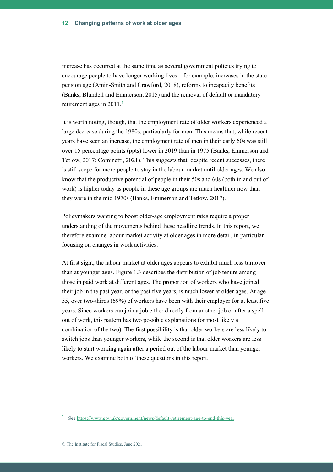increase has occurred at the same time as several government policies trying to encourage people to have longer working lives – for example, increases in the state pension age (Amin-Smith and Crawford, 2018), reforms to incapacity benefits (Banks, Blundell and Emmerson, 2015) and the removal of default or mandatory retirement ages in 2011.**<sup>1</sup>**

It is worth noting, though, that the employment rate of older workers experienced a large decrease during the 1980s, particularly for men. This means that, while recent years have seen an increase, the employment rate of men in their early 60s was still over 15 percentage points (ppts) lower in 2019 than in 1975 (Banks, Emmerson and Tetlow, 2017; Cominetti, 2021). This suggests that, despite recent successes, there is still scope for more people to stay in the labour market until older ages. We also know that the productive potential of people in their 50s and 60s (both in and out of work) is higher today as people in these age groups are much healthier now than they were in the mid 1970s (Banks, Emmerson and Tetlow, 2017).

Policymakers wanting to boost older-age employment rates require a proper understanding of the movements behind these headline trends. In this report, we therefore examine labour market activity at older ages in more detail, in particular focusing on changes in work activities.

At first sight, the labour market at older ages appears to exhibit much less turnover than at younger ages. Figure 1.3 describes the distribution of job tenure among those in paid work at different ages. The proportion of workers who have joined their job in the past year, or the past five years, is much lower at older ages. At age 55, over two-thirds (69%) of workers have been with their employer for at least five years. Since workers can join a job either directly from another job or after a spell out of work, this pattern has two possible explanations (or most likely a combination of the two). The first possibility is that older workers are less likely to switch jobs than younger workers, while the second is that older workers are less likely to start working again after a period out of the labour market than younger workers. We examine both of these questions in this report.

**<sup>1</sup>** Se[e https://www.gov.uk/government/news/default-retirement-age-to-end-this-year.](https://www.gov.uk/government/news/default-retirement-age-to-end-this-year)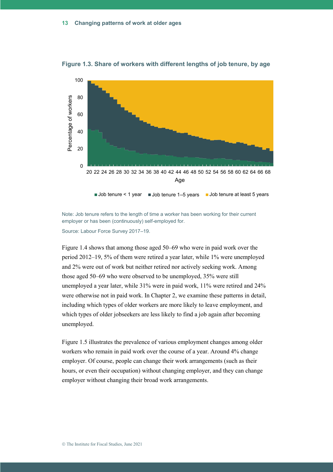

**Figure 1.3. Share of workers with different lengths of job tenure, by age**

```
Job tenure < 1 year \blacksquare Job tenure 1–5 years \blacksquare Job tenure at least 5 years
```
Note: Job tenure refers to the length of time a worker has been working for their current employer or has been (continuously) self-employed for.

Source: Labour Force Survey 2017–19.

Figure 1.4 shows that among those aged 50–69 who were in paid work over the period 2012–19, 5% of them were retired a year later, while 1% were unemployed and 2% were out of work but neither retired nor actively seeking work. Among those aged 50–69 who were observed to be unemployed, 35% were still unemployed a year later, while 31% were in paid work, 11% were retired and 24% were otherwise not in paid work. In Chapter 2, we examine these patterns in detail, including which types of older workers are more likely to leave employment, and which types of older jobseekers are less likely to find a job again after becoming unemployed.

Figure 1.5 illustrates the prevalence of various employment changes among older workers who remain in paid work over the course of a year. Around 4% change employer. Of course, people can change their work arrangements (such as their hours, or even their occupation) without changing employer, and they can change employer without changing their broad work arrangements.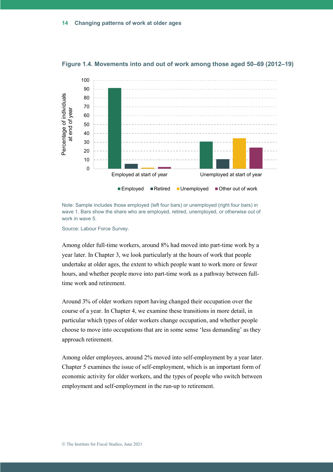

**Figure 1.4. Movements into and out of work among those aged 50–69 (2012–19)**

Note: Sample includes those employed (left four bars) or unemployed (right four bars) in wave 1. Bars show the share who are employed, retired, unemployed, or otherwise out of work in wave 5.

Source: Labour Force Survey.

Among older full-time workers, around 8% had moved into part-time work by a year later. In Chapter 3, we look particularly at the hours of work that people undertake at older ages, the extent to which people want to work more or fewer hours, and whether people move into part-time work as a pathway between fulltime work and retirement.

Around 3% of older workers report having changed their occupation over the course of a year. In Chapter 4, we examine these transitions in more detail, in particular which types of older workers change occupation, and whether people choose to move into occupations that are in some sense 'less demanding' as they approach retirement.

Among older employees, around 2% moved into self-employment by a year later. Chapter 5 examines the issue of self-employment, which is an important form of economic activity for older workers, and the types of people who switch between employment and self-employment in the run-up to retirement.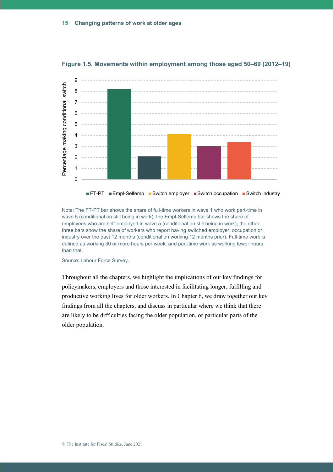

**Figure 1.5. Movements within employment among those aged 50–69 (2012–19)**

Note: The FT-PT bar shows the share of full-time workers in wave 1 who work part-time in wave 5 (conditional on still being in work); the Empl-Selfemp bar shows the share of employees who are self-employed in wave 5 (conditional on still being in work); the other three bars show the share of workers who report having switched employer, occupation or industry over the past 12 months (conditional on working 12 months prior). Full-time work is defined as working 30 or more hours per week, and part-time work as working fewer hours than that.

Source: Labour Force Survey.

Throughout all the chapters, we highlight the implications of our key findings for policymakers, employers and those interested in facilitating longer, fulfilling and productive working lives for older workers. In Chapter 6, we draw together our key findings from all the chapters, and discuss in particular where we think that there are likely to be difficulties facing the older population, or particular parts of the older population.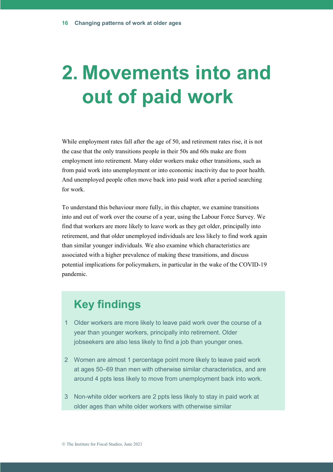# **2. Movements into and out of paid work**

While employment rates fall after the age of 50, and retirement rates rise, it is not the case that the only transitions people in their 50s and 60s make are from employment into retirement. Many older workers make other transitions, such as from paid work into unemployment or into economic inactivity due to poor health. And unemployed people often move back into paid work after a period searching for work.

To understand this behaviour more fully, in this chapter, we examine transitions into and out of work over the course of a year, using the Labour Force Survey. We find that workers are more likely to leave work as they get older, principally into retirement, and that older unemployed individuals are less likely to find work again than similar younger individuals. We also examine which characteristics are associated with a higher prevalence of making these transitions, and discuss potential implications for policymakers, in particular in the wake of the COVID-19 pandemic.

### **Key findings**

- 1 Older workers are more likely to leave paid work over the course of a year than younger workers, principally into retirement. Older jobseekers are also less likely to find a job than younger ones.
- 2 Women are almost 1 percentage point more likely to leave paid work at ages 50–69 than men with otherwise similar characteristics, and are around 4 ppts less likely to move from unemployment back into work.
- 3 Non-white older workers are 2 ppts less likely to stay in paid work at older ages than white older workers with otherwise similar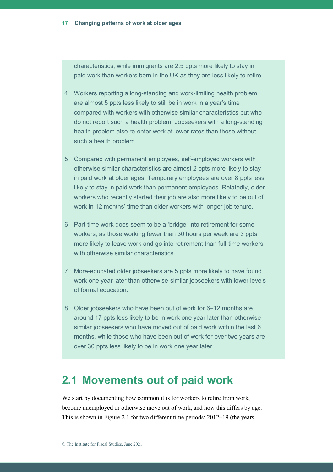characteristics, while immigrants are 2.5 ppts more likely to stay in paid work than workers born in the UK as they are less likely to retire.

- 4 Workers reporting a long-standing and work-limiting health problem are almost 5 ppts less likely to still be in work in a year's time compared with workers with otherwise similar characteristics but who do not report such a health problem. Jobseekers with a long-standing health problem also re-enter work at lower rates than those without such a health problem.
- 5 Compared with permanent employees, self-employed workers with otherwise similar characteristics are almost 2 ppts more likely to stay in paid work at older ages. Temporary employees are over 8 ppts less likely to stay in paid work than permanent employees. Relatedly, older workers who recently started their job are also more likely to be out of work in 12 months' time than older workers with longer job tenure.
- 6 Part-time work does seem to be a 'bridge' into retirement for some workers, as those working fewer than 30 hours per week are 3 ppts more likely to leave work and go into retirement than full-time workers with otherwise similar characteristics.
- 7 More-educated older jobseekers are 5 ppts more likely to have found work one year later than otherwise-similar jobseekers with lower levels of formal education.
- 8 Older jobseekers who have been out of work for 6–12 months are around 17 ppts less likely to be in work one year later than otherwisesimilar jobseekers who have moved out of paid work within the last 6 months, while those who have been out of work for over two years are over 30 ppts less likely to be in work one year later.

#### **2.1 Movements out of paid work**

We start by documenting how common it is for workers to retire from work, become unemployed or otherwise move out of work, and how this differs by age. This is shown in Figure 2.1 for two different time periods: 2012–19 (the years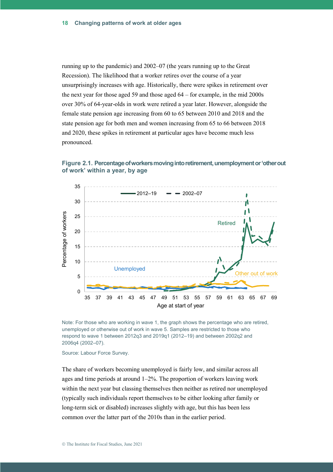running up to the pandemic) and 2002–07 (the years running up to the Great Recession). The likelihood that a worker retires over the course of a year unsurprisingly increases with age. Historically, there were spikes in retirement over the next year for those aged 59 and those aged 64 – for example, in the mid 2000s over 30% of 64-year-olds in work were retired a year later. However, alongside the female state pension age increasing from 60 to 65 between 2010 and 2018 and the state pension age for both men and women increasing from 65 to 66 between 2018 and 2020, these spikes in retirement at particular ages have become much less pronounced.

**Figure 2.1. Percentage of workers moving into retirement, unemployment or 'other out of work' within a year, by age**



Note: For those who are working in wave 1, the graph shows the percentage who are retired, unemployed or otherwise out of work in wave 5. Samples are restricted to those who respond to wave 1 between 2012q3 and 2019q1 (2012–19) and between 2002q2 and 2006q4 (2002–07).

Source: Labour Force Survey.

The share of workers becoming unemployed is fairly low, and similar across all ages and time periods at around 1–2%. The proportion of workers leaving work within the next year but classing themselves then neither as retired nor unemployed (typically such individuals report themselves to be either looking after family or long-term sick or disabled) increases slightly with age, but this has been less common over the latter part of the 2010s than in the earlier period.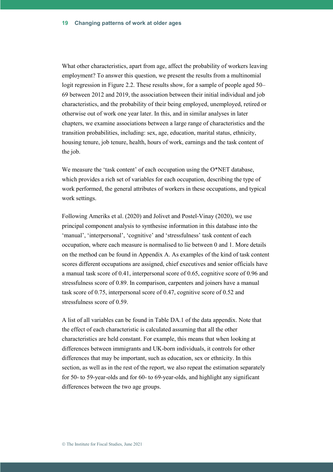What other characteristics, apart from age, affect the probability of workers leaving employment? To answer this question, we present the results from a multinomial logit regression in Figure 2.2. These results show, for a sample of people aged 50– 69 between 2012 and 2019, the association between their initial individual and job characteristics, and the probability of their being employed, unemployed, retired or otherwise out of work one year later. In this, and in similar analyses in later chapters, we examine associations between a large range of characteristics and the transition probabilities, including: sex, age, education, marital status, ethnicity, housing tenure, job tenure, health, hours of work, earnings and the task content of the job.

We measure the 'task content' of each occupation using the O\*NET database, which provides a rich set of variables for each occupation, describing the type of work performed, the general attributes of workers in these occupations, and typical work settings.

Following Ameriks et al. (2020) and Jolivet and Postel-Vinay (2020), we use principal component analysis to synthesise information in this database into the 'manual', 'interpersonal', 'cognitive' and 'stressfulness' task content of each occupation, where each measure is normalised to lie between 0 and 1. More details on the method can be found in Appendix A. As examples of the kind of task content scores different occupations are assigned, chief executives and senior officials have a manual task score of 0.41, interpersonal score of 0.65, cognitive score of 0.96 and stressfulness score of 0.89. In comparison, carpenters and joiners have a manual task score of 0.75, interpersonal score of 0.47, cognitive score of 0.52 and stressfulness score of 0.59.

A list of all variables can be found in Table DA.1 of the data appendix. Note that the effect of each characteristic is calculated assuming that all the other characteristics are held constant. For example, this means that when looking at differences between immigrants and UK-born individuals, it controls for other differences that may be important, such as education, sex or ethnicity. In this section, as well as in the rest of the report, we also repeat the estimation separately for 50- to 59-year-olds and for 60- to 69-year-olds, and highlight any significant differences between the two age groups.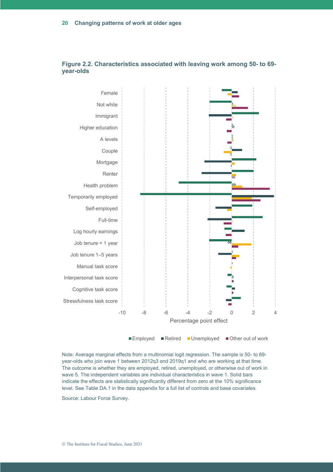

**Figure 2.2. Characteristics associated with leaving work among 50- to 69 year-olds**

Note: Average marginal effects from a multinomial logit regression. The sample is 50- to 69 year-olds who join wave 1 between 2012q3 and 2019q1 and who are working at that time. The outcome is whether they are employed, retired, unemployed, or otherwise out of work in wave 5. The independent variables are individual characteristics in wave 1. Solid bars indicate the effects are statistically significantly different from zero at the 10% significance level. See Table DA.1 in the data appendix for a full list of controls and base covariates.

Source: Labour Force Survey.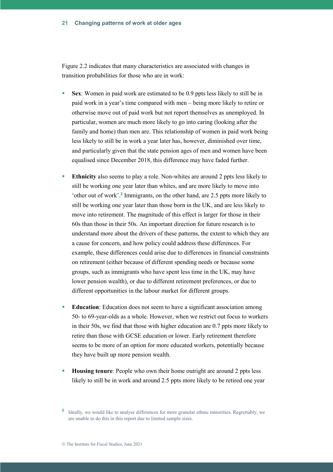Figure 2.2 indicates that many characteristics are associated with changes in transition probabilities for those who are in work:

- **Sex**: Women in paid work are estimated to be 0.9 ppts less likely to still be in paid work in a year's time compared with men – being more likely to retire or otherwise move out of paid work but not report themselves as unemployed. In particular, women are much more likely to go into caring (looking after the family and home) than men are. This relationship of women in paid work being less likely to still be in work a year later has, however, diminished over time, and particularly given that the state pension ages of men and women have been equalised since December 2018, this difference may have faded further.
- **Ethnicity** also seems to play a role. Non-whites are around 2 ppts less likely to still be working one year later than whites, and are more likely to move into 'other out of work'. **2** Immigrants, on the other hand, are 2.5 ppts more likely to still be working one year later than those born in the UK, and are less likely to move into retirement. The magnitude of this effect is larger for those in their 60s than those in their 50s. An important direction for future research is to understand more about the drivers of these patterns, the extent to which they are a cause for concern, and how policy could address these differences. For example, these differences could arise due to differences in financial constraints on retirement (either because of different spending needs or because some groups, such as immigrants who have spent less time in the UK, may have lower pension wealth), or due to different retirement preferences, or due to different opportunities in the labour market for different groups.
- **Education**: Education does not seem to have a significant association among 50- to 69-year-olds as a whole. However, when we restrict out focus to workers in their 50s, we find that those with higher education are 0.7 ppts more likely to retire than those with GCSE education or lower. Early retirement therefore seems to be more of an option for more educated workers, potentially because they have built up more pension wealth.
- **Housing tenure:** People who own their home outright are around 2 ppts less likely to still be in work and around 2.5 ppts more likely to be retired one year

<sup>&</sup>lt;sup>2</sup> Ideally, we would like to analyse differences for more granular ethnic minorities. Regrettably, we are unable to do this in this report due to limited sample sizes.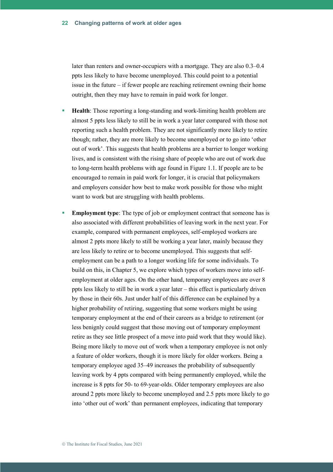later than renters and owner-occupiers with a mortgage. They are also 0.3–0.4 ppts less likely to have become unemployed. This could point to a potential issue in the future – if fewer people are reaching retirement owning their home outright, then they may have to remain in paid work for longer.

- **Health:** Those reporting a long-standing and work-limiting health problem are almost 5 ppts less likely to still be in work a year later compared with those not reporting such a health problem. They are not significantly more likely to retire though; rather, they are more likely to become unemployed or to go into 'other out of work'. This suggests that health problems are a barrier to longer working lives, and is consistent with the rising share of people who are out of work due to long-term health problems with age found in Figure 1.1. If people are to be encouraged to remain in paid work for longer, it is crucial that policymakers and employers consider how best to make work possible for those who might want to work but are struggling with health problems.
- **Employment type**: The type of job or employment contract that someone has is also associated with different probabilities of leaving work in the next year. For example, compared with permanent employees, self-employed workers are almost 2 ppts more likely to still be working a year later, mainly because they are less likely to retire or to become unemployed. This suggests that selfemployment can be a path to a longer working life for some individuals. To build on this, in Chapter 5, we explore which types of workers move into selfemployment at older ages. On the other hand, temporary employees are over 8 ppts less likely to still be in work a year later – this effect is particularly driven by those in their 60s. Just under half of this difference can be explained by a higher probability of retiring, suggesting that some workers might be using temporary employment at the end of their careers as a bridge to retirement (or less benignly could suggest that those moving out of temporary employment retire as they see little prospect of a move into paid work that they would like). Being more likely to move out of work when a temporary employee is not only a feature of older workers, though it is more likely for older workers. Being a temporary employee aged 35–49 increases the probability of subsequently leaving work by 4 ppts compared with being permanently employed, while the increase is 8 ppts for 50- to 69-year-olds. Older temporary employees are also around 2 ppts more likely to become unemployed and 2.5 ppts more likely to go into 'other out of work' than permanent employees, indicating that temporary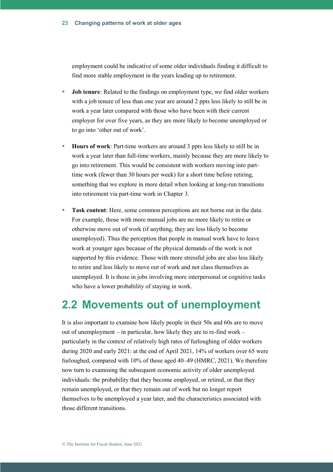employment could be indicative of some older individuals finding it difficult to find more stable employment in the years leading up to retirement.

- **Job tenure**: Related to the findings on employment type, we find older workers with a job tenure of less than one year are around 2 ppts less likely to still be in work a year later compared with those who have been with their current employer for over five years, as they are more likely to become unemployed or to go into 'other out of work'.
- **Hours of work**: Part-time workers are around 3 ppts less likely to still be in work a year later than full-time workers, mainly because they are more likely to go into retirement. This would be consistent with workers moving into parttime work (fewer than 30 hours per week) for a short time before retiring, something that we explore in more detail when looking at long-run transitions into retirement via part-time work in Chapter 3.
- **Task content**: Here, some common perceptions are not borne out in the data. For example, those with more manual jobs are no more likely to retire or otherwise move out of work (if anything, they are less likely to become unemployed). Thus the perception that people in manual work have to leave work at younger ages because of the physical demands of the work is not supported by this evidence. Those with more stressful jobs are also less likely to retire and less likely to move out of work and not class themselves as unemployed. It is those in jobs involving more interpersonal or cognitive tasks who have a lower probability of staying in work.

#### **2.2 Movements out of unemployment**

It is also important to examine how likely people in their 50s and 60s are to move out of unemployment – in particular, how likely they are to re-find work – particularly in the context of relatively high rates of furloughing of older workers during 2020 and early 2021: at the end of April 2021, 14% of workers over 65 were furloughed, compared with 10% of those aged 40–49 (HMRC, 2021). We therefore now turn to examining the subsequent economic activity of older unemployed individuals: the probability that they become employed, or retired, or that they remain unemployed, or that they remain out of work but no longer report themselves to be unemployed a year later, and the characteristics associated with those different transitions.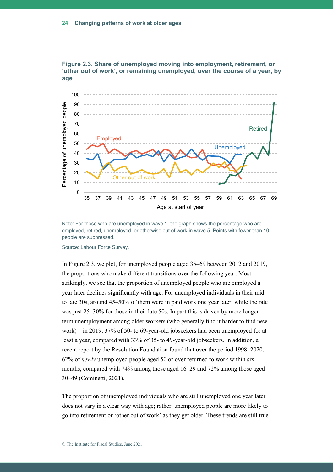



Note: For those who are unemployed in wave 1, the graph shows the percentage who are employed, retired, unemployed, or otherwise out of work in wave 5. Points with fewer than 10 people are suppressed.

Source: Labour Force Survey.

In Figure 2.3, we plot, for unemployed people aged 35–69 between 2012 and 2019, the proportions who make different transitions over the following year. Most strikingly, we see that the proportion of unemployed people who are employed a year later declines significantly with age. For unemployed individuals in their mid to late 30s, around 45–50% of them were in paid work one year later, while the rate was just 25–30% for those in their late 50s. In part this is driven by more longerterm unemployment among older workers (who generally find it harder to find new work) – in 2019, 37% of 50- to 69-year-old jobseekers had been unemployed for at least a year, compared with 33% of 35- to 49-year-old jobseekers. In addition, a recent report by the Resolution Foundation found that over the period 1998–2020, 62% of *newly* unemployed people aged 50 or over returned to work within six months, compared with 74% among those aged 16–29 and 72% among those aged 30–49 (Cominetti, 2021).

The proportion of unemployed individuals who are still unemployed one year later does not vary in a clear way with age; rather, unemployed people are more likely to go into retirement or 'other out of work' as they get older. These trends are still true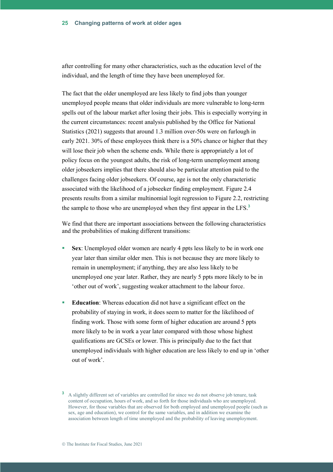after controlling for many other characteristics, such as the education level of the individual, and the length of time they have been unemployed for.

The fact that the older unemployed are less likely to find jobs than younger unemployed people means that older individuals are more vulnerable to long-term spells out of the labour market after losing their jobs. This is especially worrying in the current circumstances: recent analysis published by the Office for National Statistics (2021) suggests that around 1.3 million over-50s were on furlough in early 2021. 30% of these employees think there is a 50% chance or higher that they will lose their job when the scheme ends. While there is appropriately a lot of policy focus on the youngest adults, the risk of long-term unemployment among older jobseekers implies that there should also be particular attention paid to the challenges facing older jobseekers. Of course, age is not the only characteristic associated with the likelihood of a jobseeker finding employment. Figure 2.4 presents results from a similar multinomial logit regression to Figure 2.2, restricting the sample to those who are unemployed when they first appear in the LFS. **3**

We find that there are important associations between the following characteristics and the probabilities of making different transitions:

- **Sex**: Unemployed older women are nearly 4 ppts less likely to be in work one year later than similar older men. This is not because they are more likely to remain in unemployment; if anything, they are also less likely to be unemployed one year later. Rather, they are nearly 5 ppts more likely to be in 'other out of work', suggesting weaker attachment to the labour force.
- **Education:** Whereas education did not have a significant effect on the probability of staying in work, it does seem to matter for the likelihood of finding work. Those with some form of higher education are around 5 ppts more likely to be in work a year later compared with those whose highest qualifications are GCSEs or lower. This is principally due to the fact that unemployed individuals with higher education are less likely to end up in 'other out of work'.

**<sup>3</sup>** A slightly different set of variables are controlled for since we do not observe job tenure, task content of occupation, hours of work, and so forth for those individuals who are unemployed. However, for those variables that are observed for both employed and unemployed people (such as sex, age and education), we control for the same variables, and in addition we examine the association between length of time unemployed and the probability of leaving unemployment.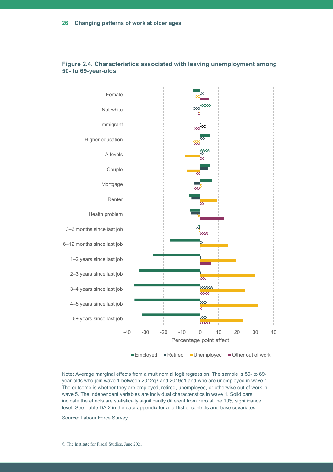

#### **Figure 2.4. Characteristics associated with leaving unemployment among 50- to 69-year-olds**

Note: Average marginal effects from a multinomial logit regression. The sample is 50- to 69 year-olds who join wave 1 between 2012q3 and 2019q1 and who are unemployed in wave 1. The outcome is whether they are employed, retired, unemployed, or otherwise out of work in wave 5. The independent variables are individual characteristics in wave 1. Solid bars indicate the effects are statistically significantly different from zero at the 10% significance level. See Table DA.2 in the data appendix for a full list of controls and base covariates.

Source: Labour Force Survey.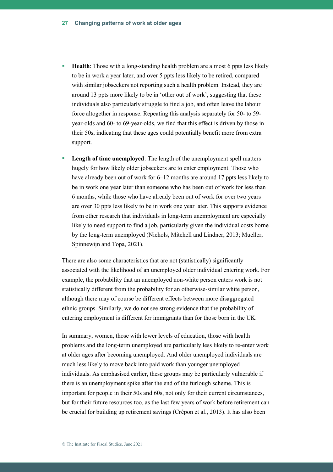- **Health:** Those with a long-standing health problem are almost 6 ppts less likely to be in work a year later, and over 5 ppts less likely to be retired, compared with similar jobseekers not reporting such a health problem. Instead, they are around 13 ppts more likely to be in 'other out of work', suggesting that these individuals also particularly struggle to find a job, and often leave the labour force altogether in response. Repeating this analysis separately for 50- to 59 year-olds and 60- to 69-year-olds, we find that this effect is driven by those in their 50s, indicating that these ages could potentially benefit more from extra support.
- **Length of time unemployed:** The length of the unemployment spell matters hugely for how likely older jobseekers are to enter employment. Those who have already been out of work for 6–12 months are around 17 ppts less likely to be in work one year later than someone who has been out of work for less than 6 months, while those who have already been out of work for over two years are over 30 ppts less likely to be in work one year later. This supports evidence from other research that individuals in long-term unemployment are especially likely to need support to find a job, particularly given the individual costs borne by the long-term unemployed (Nichols, Mitchell and Lindner, 2013; Mueller, Spinnewijn and Topa, 2021).

There are also some characteristics that are not (statistically) significantly associated with the likelihood of an unemployed older individual entering work. For example, the probability that an unemployed non-white person enters work is not statistically different from the probability for an otherwise-similar white person, although there may of course be different effects between more disaggregated ethnic groups. Similarly, we do not see strong evidence that the probability of entering employment is different for immigrants than for those born in the UK.

In summary, women, those with lower levels of education, those with health problems and the long-term unemployed are particularly less likely to re-enter work at older ages after becoming unemployed. And older unemployed individuals are much less likely to move back into paid work than younger unemployed individuals. As emphasised earlier, these groups may be particularly vulnerable if there is an unemployment spike after the end of the furlough scheme. This is important for people in their 50s and 60s, not only for their current circumstances, but for their future resources too, as the last few years of work before retirement can be crucial for building up retirement savings (Crépon et al., 2013). It has also been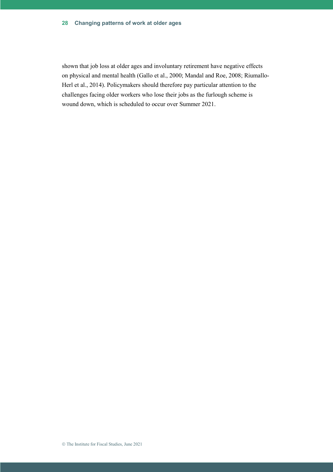#### **Changing patterns of work at older ages 28**

shown that job loss at older ages and involuntary retirement have negative effects on physical and mental health (Gallo et al., 2000; Mandal and Roe, 2008; Riumallo-Herl et al., 2014). Policymakers should therefore pay particular attention to the challenges facing older workers who lose their jobs as the furlough scheme is wound down, which is scheduled to occur over Summer 2021.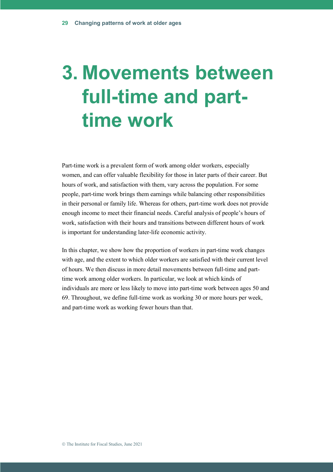# **3. Movements between full-time and parttime work**

Part-time work is a prevalent form of work among older workers, especially women, and can offer valuable flexibility for those in later parts of their career. But hours of work, and satisfaction with them, vary across the population. For some people, part-time work brings them earnings while balancing other responsibilities in their personal or family life. Whereas for others, part-time work does not provide enough income to meet their financial needs. Careful analysis of people's hours of work, satisfaction with their hours and transitions between different hours of work is important for understanding later-life economic activity.

In this chapter, we show how the proportion of workers in part-time work changes with age, and the extent to which older workers are satisfied with their current level of hours. We then discuss in more detail movements between full-time and parttime work among older workers. In particular, we look at which kinds of individuals are more or less likely to move into part-time work between ages 50 and 69. Throughout, we define full-time work as working 30 or more hours per week, and part-time work as working fewer hours than that.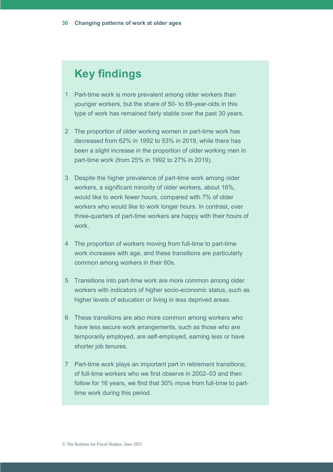## **Key findings**

- 1 Part-time work is more prevalent among older workers than younger workers, but the share of 50- to 69-year-olds in this type of work has remained fairly stable over the past 30 years.
- 2 The proportion of older working women in part-time work has decreased from 62% in 1992 to 53% in 2019, while there has been a slight increase in the proportion of older working men in part-time work (from 25% in 1992 to 27% in 2019).
- 3 Despite the higher prevalence of part-time work among older workers, a significant minority of older workers, about 16%, would like to work fewer hours, compared with 7% of older workers who would like to work longer hours. In contrast, over three-quarters of part-time workers are happy with their hours of work.
- 4 The proportion of workers moving from full-time to part-time work increases with age, and these transitions are particularly common among workers in their 60s.
- 5 Transitions into part-time work are more common among older workers with indicators of higher socio-economic status, such as higher levels of education or living in less deprived areas.
- 6 These transitions are also more common among workers who have less secure work arrangements, such as those who are temporarily employed, are self-employed, earning less or have shorter job tenures.
- 7 Part-time work plays an important part in retirement transitions; of full-time workers who we first observe in 2002–03 and then follow for 16 years, we find that 30% move from full-time to parttime work during this period.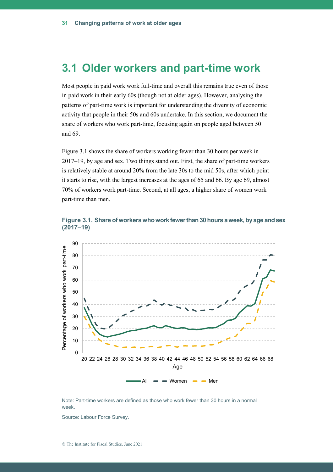#### **3.1 Older workers and part-time work**

Most people in paid work work full-time and overall this remains true even of those in paid work in their early 60s (though not at older ages). However, analysing the patterns of part-time work is important for understanding the diversity of economic activity that people in their 50s and 60s undertake. In this section, we document the share of workers who work part-time, focusing again on people aged between 50 and 69.

Figure 3.1 shows the share of workers working fewer than 30 hours per week in 2017–19, by age and sex. Two things stand out. First, the share of part-time workers is relatively stable at around 20% from the late 30s to the mid 50s, after which point it starts to rise, with the largest increases at the ages of 65 and 66. By age 69, almost 70% of workers work part-time. Second, at all ages, a higher share of women work part-time than men.





Note: Part-time workers are defined as those who work fewer than 30 hours in a normal week.

Source: Labour Force Survey.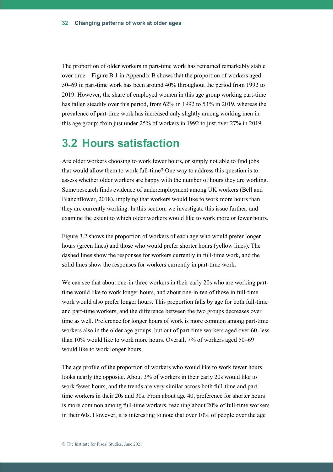The proportion of older workers in part-time work has remained remarkably stable over time – Figure B.1 in Appendix B shows that the proportion of workers aged 50–69 in part-time work has been around 40% throughout the period from 1992 to 2019. However, the share of employed women in this age group working part-time has fallen steadily over this period, from 62% in 1992 to 53% in 2019, whereas the prevalence of part-time work has increased only slightly among working men in this age group: from just under 25% of workers in 1992 to just over 27% in 2019.

#### **3.2 Hours satisfaction**

Are older workers choosing to work fewer hours, or simply not able to find jobs that would allow them to work full-time? One way to address this question is to assess whether older workers are happy with the number of hours they are working. Some research finds evidence of underemployment among UK workers (Bell and Blanchflower, 2018), implying that workers would like to work more hours than they are currently working. In this section, we investigate this issue further, and examine the extent to which older workers would like to work more or fewer hours.

Figure 3.2 shows the proportion of workers of each age who would prefer longer hours (green lines) and those who would prefer shorter hours (yellow lines). The dashed lines show the responses for workers currently in full-time work, and the solid lines show the responses for workers currently in part-time work.

We can see that about one-in-three workers in their early 20s who are working parttime would like to work longer hours, and about one-in-ten of those in full-time work would also prefer longer hours. This proportion falls by age for both full-time and part-time workers, and the difference between the two groups decreases over time as well. Preference for longer hours of work is more common among part-time workers also in the older age groups, but out of part-time workers aged over 60, less than 10% would like to work more hours. Overall, 7% of workers aged 50–69 would like to work longer hours.

The age profile of the proportion of workers who would like to work fewer hours looks nearly the opposite. About 3% of workers in their early 20s would like to work fewer hours, and the trends are very similar across both full-time and parttime workers in their 20s and 30s. From about age 40, preference for shorter hours is more common among full-time workers, reaching about 20% of full-time workers in their 60s. However, it is interesting to note that over 10% of people over the age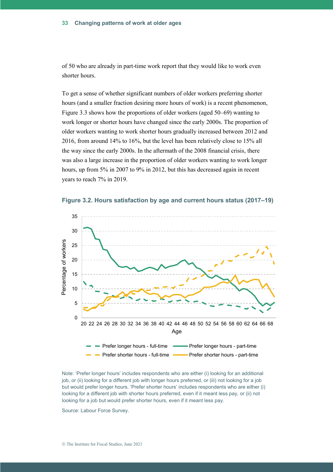of 50 who are already in part-time work report that they would like to work even shorter hours.

To get a sense of whether significant numbers of older workers preferring shorter hours (and a smaller fraction desiring more hours of work) is a recent phenomenon, Figure 3.3 shows how the proportions of older workers (aged 50–69) wanting to work longer or shorter hours have changed since the early 2000s. The proportion of older workers wanting to work shorter hours gradually increased between 2012 and 2016, from around 14% to 16%, but the level has been relatively close to 15% all the way since the early 2000s. In the aftermath of the 2008 financial crisis, there was also a large increase in the proportion of older workers wanting to work longer hours, up from 5% in 2007 to 9% in 2012, but this has decreased again in recent years to reach 7% in 2019.





Note: 'Prefer longer hours' includes respondents who are either (i) looking for an additional job, or (ii) looking for a different job with longer hours preferred, or (iii) not looking for a job but would prefer longer hours. 'Prefer shorter hours' includes respondents who are either (i) looking for a different job with shorter hours preferred, even if it meant less pay, or (ii) not looking for a job but would prefer shorter hours, even if it meant less pay.

Source: Labour Force Survey.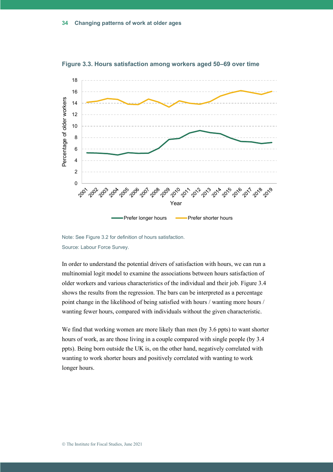

**Figure 3.3. Hours satisfaction among workers aged 50–69 over time**

In order to understand the potential drivers of satisfaction with hours, we can run a multinomial logit model to examine the associations between hours satisfaction of older workers and various characteristics of the individual and their job. Figure 3.4 shows the results from the regression. The bars can be interpreted as a percentage point change in the likelihood of being satisfied with hours / wanting more hours / wanting fewer hours, compared with individuals without the given characteristic.

We find that working women are more likely than men (by 3.6 ppts) to want shorter hours of work, as are those living in a couple compared with single people (by 3.4 ppts). Being born outside the UK is, on the other hand, negatively correlated with wanting to work shorter hours and positively correlated with wanting to work longer hours.

Note: See Figure 3.2 for definition of hours satisfaction. Source: Labour Force Survey.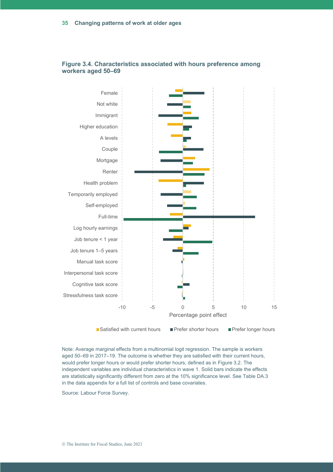

#### **Figure 3.4. Characteristics associated with hours preference among workers aged 50–69**

■ Satisfied with current hours ■ Prefer shorter hours ■ Prefer longer hours

Note: Average marginal effects from a multinomial logit regression. The sample is workers aged 50–69 in 2017–19. The outcome is whether they are satisfied with their current hours, would prefer longer hours or would prefer shorter hours, defined as in Figure 3.2. The independent variables are individual characteristics in wave 1. Solid bars indicate the effects are statistically significantly different from zero at the 10% significance level. See Table DA.3 in the data appendix for a full list of controls and base covariates.

Source: Labour Force Survey.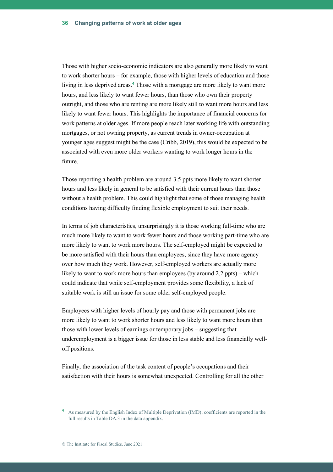Those with higher socio-economic indicators are also generally more likely to want to work shorter hours – for example, those with higher levels of education and those living in less deprived areas. **<sup>4</sup>** Those with a mortgage are more likely to want more hours, and less likely to want fewer hours, than those who own their property outright, and those who are renting are more likely still to want more hours and less likely to want fewer hours. This highlights the importance of financial concerns for work patterns at older ages. If more people reach later working life with outstanding mortgages, or not owning property, as current trends in owner-occupation at younger ages suggest might be the case (Cribb, 2019), this would be expected to be associated with even more older workers wanting to work longer hours in the future.

Those reporting a health problem are around 3.5 ppts more likely to want shorter hours and less likely in general to be satisfied with their current hours than those without a health problem. This could highlight that some of those managing health conditions having difficulty finding flexible employment to suit their needs.

In terms of job characteristics, unsurprisingly it is those working full-time who are much more likely to want to work fewer hours and those working part-time who are more likely to want to work more hours. The self-employed might be expected to be more satisfied with their hours than employees, since they have more agency over how much they work. However, self-employed workers are actually more likely to want to work more hours than employees (by around 2.2 ppts) – which could indicate that while self-employment provides some flexibility, a lack of suitable work is still an issue for some older self-employed people.

Employees with higher levels of hourly pay and those with permanent jobs are more likely to want to work shorter hours and less likely to want more hours than those with lower levels of earnings or temporary jobs – suggesting that underemployment is a bigger issue for those in less stable and less financially welloff positions.

Finally, the association of the task content of people's occupations and their satisfaction with their hours is somewhat unexpected. Controlling for all the other

**<sup>4</sup>** As measured by the English Index of Multiple Deprivation (IMD); coefficients are reported in the full results in Table DA.3 in the data appendix.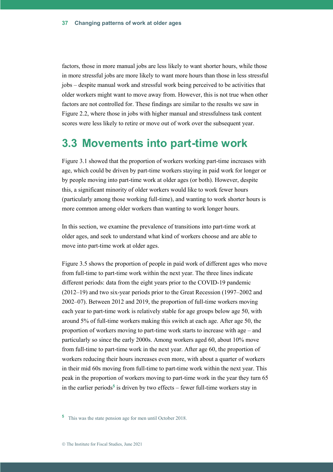factors, those in more manual jobs are less likely to want shorter hours, while those in more stressful jobs are more likely to want more hours than those in less stressful jobs – despite manual work and stressful work being perceived to be activities that older workers might want to move away from. However, this is not true when other factors are not controlled for. These findings are similar to the results we saw in Figure 2.2, where those in jobs with higher manual and stressfulness task content scores were less likely to retire or move out of work over the subsequent year.

### **3.3 Movements into part-time work**

Figure 3.1 showed that the proportion of workers working part-time increases with age, which could be driven by part-time workers staying in paid work for longer or by people moving into part-time work at older ages (or both). However, despite this, a significant minority of older workers would like to work fewer hours (particularly among those working full-time), and wanting to work shorter hours is more common among older workers than wanting to work longer hours.

In this section, we examine the prevalence of transitions into part-time work at older ages, and seek to understand what kind of workers choose and are able to move into part-time work at older ages.

Figure 3.5 shows the proportion of people in paid work of different ages who move from full-time to part-time work within the next year. The three lines indicate different periods: data from the eight years prior to the COVID-19 pandemic (2012–19) and two six-year periods prior to the Great Recession (1997–2002 and 2002–07). Between 2012 and 2019, the proportion of full-time workers moving each year to part-time work is relatively stable for age groups below age 50, with around 5% of full-time workers making this switch at each age. After age 50, the proportion of workers moving to part-time work starts to increase with age – and particularly so since the early 2000s. Among workers aged 60, about 10% move from full-time to part-time work in the next year. After age 60, the proportion of workers reducing their hours increases even more, with about a quarter of workers in their mid 60s moving from full-time to part-time work within the next year. This peak in the proportion of workers moving to part-time work in the year they turn 65 in the earlier periods**<sup>5</sup>** is driven by two effects – fewer full-time workers stay in

**<sup>5</sup>** This was the state pension age for men until October 2018.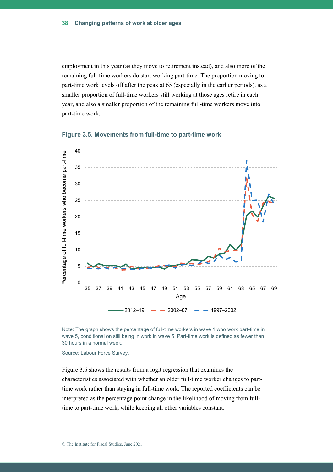employment in this year (as they move to retirement instead), and also more of the remaining full-time workers do start working part-time. The proportion moving to part-time work levels off after the peak at 65 (especially in the earlier periods), as a smaller proportion of full-time workers still working at those ages retire in each year, and also a smaller proportion of the remaining full-time workers move into part-time work.



**Figure 3.5. Movements from full-time to part-time work**

Note: The graph shows the percentage of full-time workers in wave 1 who work part-time in wave 5, conditional on still being in work in wave 5. Part-time work is defined as fewer than 30 hours in a normal week.

Source: Labour Force Survey.

Figure 3.6 shows the results from a logit regression that examines the characteristics associated with whether an older full-time worker changes to parttime work rather than staying in full-time work. The reported coefficients can be interpreted as the percentage point change in the likelihood of moving from fulltime to part-time work, while keeping all other variables constant.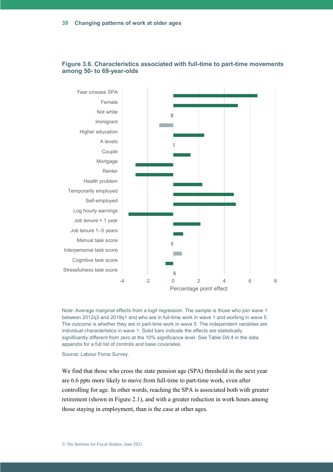

#### **Figure 3.6. Characteristics associated with full-time to part-time movements among 50- to 69-year-olds**

Note: Average marginal effects from a logit regression. The sample is those who join wave 1 between 2012q3 and 2019q1 and who are in full-time work in wave 1 and working in wave 5. The outcome is whether they are in part-time work in wave 5. The independent variables are individual characteristics in wave 1. Solid bars indicate the effects are statistically significantly different from zero at the 10% significance level. See Table DA.4 in the data appendix for a full list of controls and base covariates.

Source: Labour Force Survey.

We find that those who cross the state pension age (SPA) threshold in the next year are 6.6 ppts more likely to move from full-time to part-time work, even after controlling for age. In other words, reaching the SPA is associated both with greater retirement (shown in Figure 2.1), and with a greater reduction in work hours among those staying in employment, than is the case at other ages.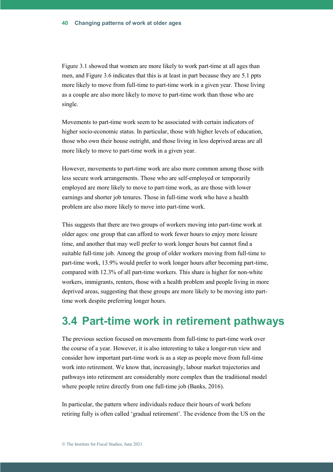Figure 3.1 showed that women are more likely to work part-time at all ages than men, and Figure 3.6 indicates that this is at least in part because they are 5.1 ppts more likely to move from full-time to part-time work in a given year. Those living as a couple are also more likely to move to part-time work than those who are single.

Movements to part-time work seem to be associated with certain indicators of higher socio-economic status. In particular, those with higher levels of education, those who own their house outright, and those living in less deprived areas are all more likely to move to part-time work in a given year.

However, movements to part-time work are also more common among those with less secure work arrangements. Those who are self-employed or temporarily employed are more likely to move to part-time work, as are those with lower earnings and shorter job tenures. Those in full-time work who have a health problem are also more likely to move into part-time work.

This suggests that there are two groups of workers moving into part-time work at older ages: one group that can afford to work fewer hours to enjoy more leisure time, and another that may well prefer to work longer hours but cannot find a suitable full-time job. Among the group of older workers moving from full-time to part-time work, 13.9% would prefer to work longer hours after becoming part-time, compared with 12.3% of all part-time workers. This share is higher for non-white workers, immigrants, renters, those with a health problem and people living in more deprived areas, suggesting that these groups are more likely to be moving into parttime work despite preferring longer hours.

## **3.4 Part-time work in retirement pathways**

The previous section focused on movements from full-time to part-time work over the course of a year. However, it is also interesting to take a longer-run view and consider how important part-time work is as a step as people move from full-time work into retirement. We know that, increasingly, labour market trajectories and pathways into retirement are considerably more complex than the traditional model where people retire directly from one full-time job (Banks, 2016).

In particular, the pattern where individuals reduce their hours of work before retiring fully is often called 'gradual retirement'. The evidence from the US on the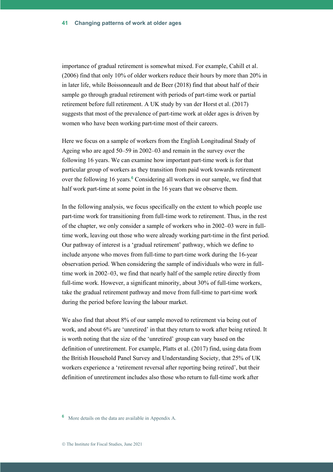importance of gradual retirement is somewhat mixed. For example, Cahill et al. (2006) find that only 10% of older workers reduce their hours by more than 20% in in later life, while Boissonneault and de Beer (2018) find that about half of their sample go through gradual retirement with periods of part-time work or partial retirement before full retirement. A UK study by van der Horst et al. (2017) suggests that most of the prevalence of part-time work at older ages is driven by women who have been working part-time most of their careers.

Here we focus on a sample of workers from the English Longitudinal Study of Ageing who are aged 50–59 in 2002–03 and remain in the survey over the following 16 years. We can examine how important part-time work is for that particular group of workers as they transition from paid work towards retirement over the following 16 years.**<sup>6</sup>** Considering all workers in our sample, we find that half work part-time at some point in the 16 years that we observe them.

In the following analysis, we focus specifically on the extent to which people use part-time work for transitioning from full-time work to retirement. Thus, in the rest of the chapter, we only consider a sample of workers who in 2002–03 were in fulltime work, leaving out those who were already working part-time in the first period. Our pathway of interest is a 'gradual retirement' pathway, which we define to include anyone who moves from full-time to part-time work during the 16-year observation period. When considering the sample of individuals who were in fulltime work in 2002–03, we find that nearly half of the sample retire directly from full-time work. However, a significant minority, about 30% of full-time workers, take the gradual retirement pathway and move from full-time to part-time work during the period before leaving the labour market.

We also find that about 8% of our sample moved to retirement via being out of work, and about 6% are 'unretired' in that they return to work after being retired. It is worth noting that the size of the 'unretired' group can vary based on the definition of unretirement. For example, Platts et al. (2017) find, using data from the British Household Panel Survey and Understanding Society, that 25% of UK workers experience a 'retirement reversal after reporting being retired', but their definition of unretirement includes also those who return to full-time work after

**<sup>6</sup>** More details on the data are available in Appendix A.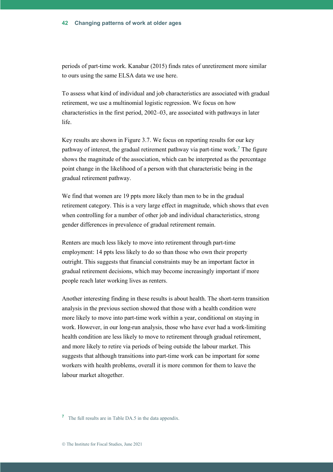periods of part-time work. Kanabar (2015) finds rates of unretirement more similar to ours using the same ELSA data we use here.

To assess what kind of individual and job characteristics are associated with gradual retirement, we use a multinomial logistic regression. We focus on how characteristics in the first period, 2002–03, are associated with pathways in later life.

Key results are shown in Figure 3.7. We focus on reporting results for our key pathway of interest, the gradual retirement pathway via part-time work. **<sup>7</sup>** The figure shows the magnitude of the association, which can be interpreted as the percentage point change in the likelihood of a person with that characteristic being in the gradual retirement pathway.

We find that women are 19 ppts more likely than men to be in the gradual retirement category. This is a very large effect in magnitude, which shows that even when controlling for a number of other job and individual characteristics, strong gender differences in prevalence of gradual retirement remain.

Renters are much less likely to move into retirement through part-time employment: 14 ppts less likely to do so than those who own their property outright. This suggests that financial constraints may be an important factor in gradual retirement decisions, which may become increasingly important if more people reach later working lives as renters.

Another interesting finding in these results is about health. The short-term transition analysis in the previous section showed that those with a health condition were more likely to move into part-time work within a year, conditional on staying in work. However, in our long-run analysis, those who have ever had a work-limiting health condition are less likely to move to retirement through gradual retirement, and more likely to retire via periods of being outside the labour market. This suggests that although transitions into part-time work can be important for some workers with health problems, overall it is more common for them to leave the labour market altogether.

**<sup>7</sup>** The full results are in Table DA.5 in the data appendix.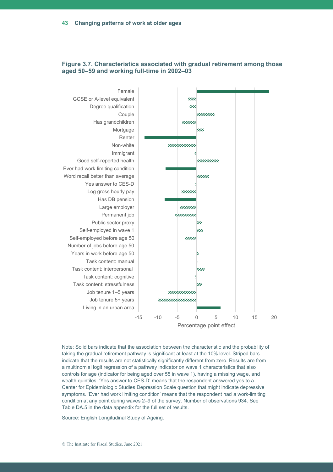

#### **Figure 3.7. Characteristics associated with gradual retirement among those aged 50–59 and working full-time in 2002–03**

Note: Solid bars indicate that the association between the characteristic and the probability of taking the gradual retirement pathway is significant at least at the 10% level. Striped bars indicate that the results are not statistically significantly different from zero. Results are from a multinomial logit regression of a pathway indicator on wave 1 characteristics that also controls for age (indicator for being aged over 55 in wave 1), having a missing wage, and wealth quintiles. 'Yes answer to CES-D' means that the respondent answered yes to a Center for Epidemiologic Studies Depression Scale question that might indicate depressive symptoms. 'Ever had work limiting condition' means that the respondent had a work-limiting condition at any point during waves 2–9 of the survey. Number of observations 934. See Table DA.5 in the data appendix for the full set of results.

Source: English Longitudinal Study of Ageing.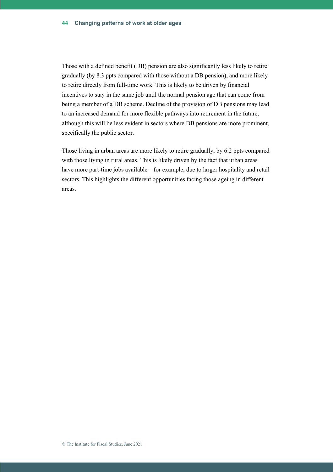Those with a defined benefit (DB) pension are also significantly less likely to retire gradually (by 8.3 ppts compared with those without a DB pension), and more likely to retire directly from full-time work. This is likely to be driven by financial incentives to stay in the same job until the normal pension age that can come from being a member of a DB scheme. Decline of the provision of DB pensions may lead to an increased demand for more flexible pathways into retirement in the future, although this will be less evident in sectors where DB pensions are more prominent, specifically the public sector.

Those living in urban areas are more likely to retire gradually, by 6.2 ppts compared with those living in rural areas. This is likely driven by the fact that urban areas have more part-time jobs available – for example, due to larger hospitality and retail sectors. This highlights the different opportunities facing those ageing in different areas.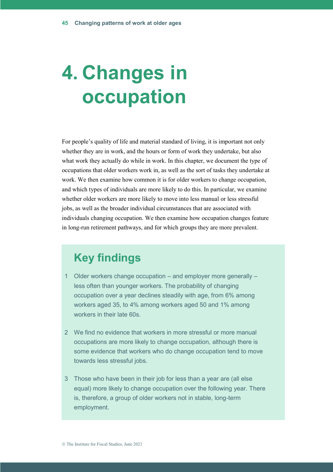# **4. Changes in occupation**

For people's quality of life and material standard of living, it is important not only whether they are in work, and the hours or form of work they undertake, but also what work they actually do while in work. In this chapter, we document the type of occupations that older workers work in, as well as the sort of tasks they undertake at work. We then examine how common it is for older workers to change occupation, and which types of individuals are more likely to do this. In particular, we examine whether older workers are more likely to move into less manual or less stressful jobs, as well as the broader individual circumstances that are associated with individuals changing occupation. We then examine how occupation changes feature in long-run retirement pathways, and for which groups they are more prevalent.

## **Key findings**

- 1 Older workers change occupation and employer more generally less often than younger workers. The probability of changing occupation over a year declines steadily with age, from 6% among workers aged 35, to 4% among workers aged 50 and 1% among workers in their late 60s.
- 2 We find no evidence that workers in more stressful or more manual occupations are more likely to change occupation, although there is some evidence that workers who do change occupation tend to move towards less stressful jobs.
- 3 Those who have been in their job for less than a year are (all else equal) more likely to change occupation over the following year. There is, therefore, a group of older workers not in stable, long-term employment.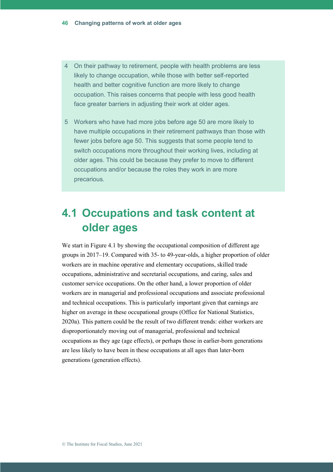- 4 On their pathway to retirement, people with health problems are less likely to change occupation, while those with better self-reported health and better cognitive function are more likely to change occupation. This raises concerns that people with less good health face greater barriers in adjusting their work at older ages.
- 5 Workers who have had more jobs before age 50 are more likely to have multiple occupations in their retirement pathways than those with fewer jobs before age 50. This suggests that some people tend to switch occupations more throughout their working lives, including at older ages. This could be because they prefer to move to different occupations and/or because the roles they work in are more precarious.

## **4.1 Occupations and task content at older ages**

We start in Figure 4.1 by showing the occupational composition of different age groups in 2017–19. Compared with 35- to 49-year-olds, a higher proportion of older workers are in machine operative and elementary occupations, skilled trade occupations, administrative and secretarial occupations, and caring, sales and customer service occupations. On the other hand, a lower proportion of older workers are in managerial and professional occupations and associate professional and technical occupations. This is particularly important given that earnings are higher on average in these occupational groups (Office for National Statistics, 2020a). This pattern could be the result of two different trends: either workers are disproportionately moving out of managerial, professional and technical occupations as they age (age effects), or perhaps those in earlier-born generations are less likely to have been in these occupations at all ages than later-born generations (generation effects).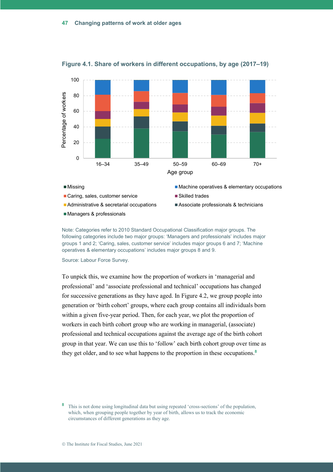

**Figure 4.1. Share of workers in different occupations, by age (2017–19)**

Note: Categories refer to 2010 Standard Occupational Classification major groups. The following categories include two major groups: 'Managers and professionals' includes major groups 1 and 2; 'Caring, sales, customer service' includes major groups 6 and 7; 'Machine operatives & elementary occupations' includes major groups 8 and 9.

Source: Labour Force Survey.

To unpick this, we examine how the proportion of workers in 'managerial and professional' and 'associate professional and technical' occupations has changed for successive generations as they have aged. In Figure 4.2, we group people into generation or 'birth cohort' groups, where each group contains all individuals born within a given five-year period. Then, for each year, we plot the proportion of workers in each birth cohort group who are working in managerial, (associate) professional and technical occupations against the average age of the birth cohort group in that year. We can use this to 'follow' each birth cohort group over time as they get older, and to see what happens to the proportion in these occupations.**<sup>8</sup>**

**<sup>8</sup>** This is not done using longitudinal data but using repeated 'cross-sections' of the population, which, when grouping people together by year of birth, allows us to track the economic circumstances of different generations as they age.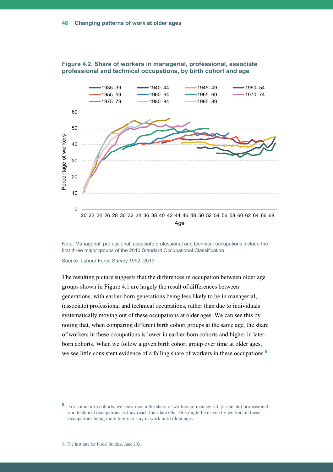

**Figure 4.2. Share of workers in managerial, professional, associate professional and technical occupations, by birth cohort and age**

Note: Managerial, professional, associate professional and technical occupations include the first three major groups of the 2010 Standard Occupational Classification.

Source: Labour Force Survey 1992–2019.

The resulting picture suggests that the differences in occupation between older age groups shown in Figure 4.1 are largely the result of differences between generations, with earlier-born generations being less likely to be in managerial, (associate) professional and technical occupations, rather than due to individuals systematically moving out of these occupations at older ages. We can see this by noting that, when comparing different birth cohort groups at the same age, the share of workers in these occupations is lower in earlier-born cohorts and higher in laterborn cohorts. When we follow a given birth cohort group over time at older ages, we see little consistent evidence of a falling share of workers in these occupations.<sup>9</sup>

**<sup>9</sup>** For some birth cohorts, we see a rise in the share of workers in managerial, (associate) professional and technical occupations as they reach their late 60s. This might be driven by workers in these occupations being more likely to stay in work until older ages.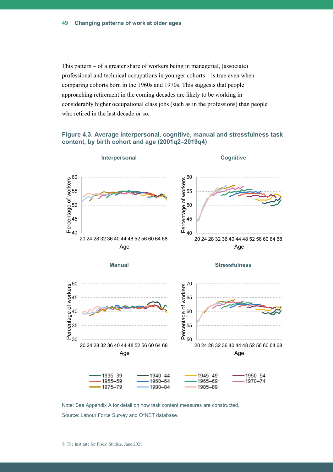This pattern – of a greater share of workers being in managerial, (associate) professional and technical occupations in younger cohorts – is true even when comparing cohorts born in the 1960s and 1970s. This suggests that people approaching retirement in the coming decades are likely to be working in considerably higher occupational class jobs (such as in the professions) than people who retired in the last decade or so.

#### **Figure 4.3. Average interpersonal, cognitive, manual and stressfulness task content, by birth cohort and age (2001q2–2019q4)**



Note: See Appendix A for detail on how task content measures are constructed. Source: Labour Force Survey and O\*NET database.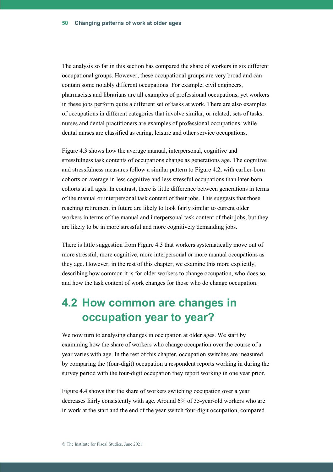The analysis so far in this section has compared the share of workers in six different occupational groups. However, these occupational groups are very broad and can contain some notably different occupations. For example, civil engineers, pharmacists and librarians are all examples of professional occupations, yet workers in these jobs perform quite a different set of tasks at work. There are also examples of occupations in different categories that involve similar, or related, sets of tasks: nurses and dental practitioners are examples of professional occupations, while dental nurses are classified as caring, leisure and other service occupations.

Figure 4.3 shows how the average manual, interpersonal, cognitive and stressfulness task contents of occupations change as generations age. The cognitive and stressfulness measures follow a similar pattern to Figure 4.2, with earlier-born cohorts on average in less cognitive and less stressful occupations than later-born cohorts at all ages. In contrast, there is little difference between generations in terms of the manual or interpersonal task content of their jobs. This suggests that those reaching retirement in future are likely to look fairly similar to current older workers in terms of the manual and interpersonal task content of their jobs, but they are likely to be in more stressful and more cognitively demanding jobs.

There is little suggestion from Figure 4.3 that workers systematically move out of more stressful, more cognitive, more interpersonal or more manual occupations as they age. However, in the rest of this chapter, we examine this more explicitly, describing how common it is for older workers to change occupation, who does so, and how the task content of work changes for those who do change occupation.

## **4.2 How common are changes in occupation year to year?**

We now turn to analysing changes in occupation at older ages. We start by examining how the share of workers who change occupation over the course of a year varies with age. In the rest of this chapter, occupation switches are measured by comparing the (four-digit) occupation a respondent reports working in during the survey period with the four-digit occupation they report working in one year prior.

Figure 4.4 shows that the share of workers switching occupation over a year decreases fairly consistently with age. Around 6% of 35-year-old workers who are in work at the start and the end of the year switch four-digit occupation, compared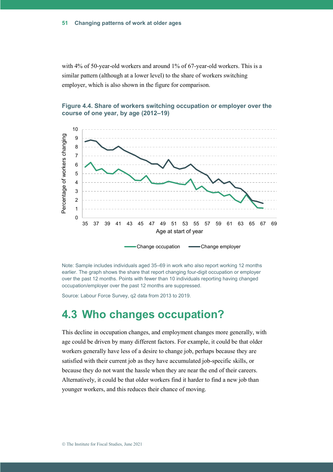with 4% of 50-year-old workers and around 1% of 67-year-old workers. This is a similar pattern (although at a lower level) to the share of workers switching employer, which is also shown in the figure for comparison.





Note: Sample includes individuals aged 35–69 in work who also report working 12 months earlier. The graph shows the share that report changing four-digit occupation or employer over the past 12 months. Points with fewer than 10 individuals reporting having changed occupation/employer over the past 12 months are suppressed.

Source: Labour Force Survey, q2 data from 2013 to 2019.

## **4.3 Who changes occupation?**

This decline in occupation changes, and employment changes more generally, with age could be driven by many different factors. For example, it could be that older workers generally have less of a desire to change job, perhaps because they are satisfied with their current job as they have accumulated job-specific skills, or because they do not want the hassle when they are near the end of their careers. Alternatively, it could be that older workers find it harder to find a new job than younger workers, and this reduces their chance of moving.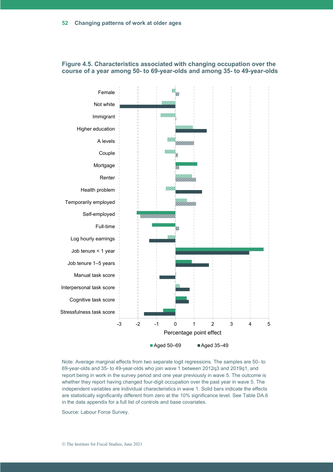

#### **Figure 4.5. Characteristics associated with changing occupation over the course of a year among 50- to 69-year-olds and among 35- to 49-year-olds**

Note: Average marginal effects from two separate logit regressions. The samples are 50- to 69-year-olds and 35- to 49-year-olds who join wave 1 between 2012q3 and 2019q1, and report being in work in the survey period and one year previously in wave 5. The outcome is whether they report having changed four-digit occupation over the past year in wave 5. The independent variables are individual characteristics in wave 1. Solid bars indicate the effects are statistically significantly different from zero at the 10% significance level. See Table DA.6 in the data appendix for a full list of controls and base covariates.

Source: Labour Force Survey.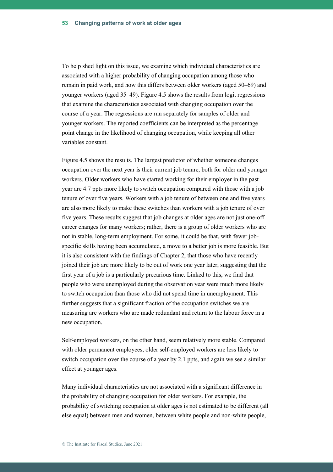To help shed light on this issue, we examine which individual characteristics are associated with a higher probability of changing occupation among those who remain in paid work, and how this differs between older workers (aged 50–69) and younger workers (aged 35–49). Figure 4.5 shows the results from logit regressions that examine the characteristics associated with changing occupation over the course of a year. The regressions are run separately for samples of older and younger workers. The reported coefficients can be interpreted as the percentage point change in the likelihood of changing occupation, while keeping all other variables constant.

Figure 4.5 shows the results. The largest predictor of whether someone changes occupation over the next year is their current job tenure, both for older and younger workers. Older workers who have started working for their employer in the past year are 4.7 ppts more likely to switch occupation compared with those with a job tenure of over five years. Workers with a job tenure of between one and five years are also more likely to make these switches than workers with a job tenure of over five years. These results suggest that job changes at older ages are not just one-off career changes for many workers; rather, there is a group of older workers who are not in stable, long-term employment. For some, it could be that, with fewer jobspecific skills having been accumulated, a move to a better job is more feasible. But it is also consistent with the findings of Chapter 2, that those who have recently joined their job are more likely to be out of work one year later, suggesting that the first year of a job is a particularly precarious time. Linked to this, we find that people who were unemployed during the observation year were much more likely to switch occupation than those who did not spend time in unemployment. This further suggests that a significant fraction of the occupation switches we are measuring are workers who are made redundant and return to the labour force in a new occupation.

Self-employed workers, on the other hand, seem relatively more stable. Compared with older permanent employees, older self-employed workers are less likely to switch occupation over the course of a year by 2.1 ppts, and again we see a similar effect at younger ages.

Many individual characteristics are not associated with a significant difference in the probability of changing occupation for older workers. For example, the probability of switching occupation at older ages is not estimated to be different (all else equal) between men and women, between white people and non-white people,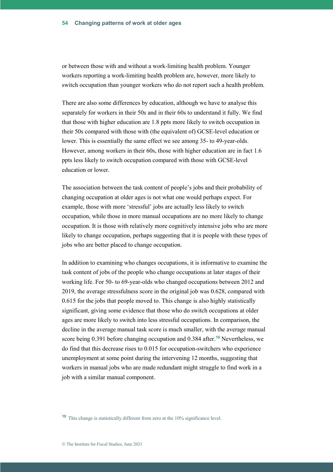or between those with and without a work-limiting health problem. Younger workers reporting a work-limiting health problem are, however, more likely to switch occupation than younger workers who do not report such a health problem.

There are also some differences by education, although we have to analyse this separately for workers in their 50s and in their 60s to understand it fully. We find that those with higher education are 1.8 ppts more likely to switch occupation in their 50s compared with those with (the equivalent of) GCSE-level education or lower. This is essentially the same effect we see among 35- to 49-year-olds. However, among workers in their 60s, those with higher education are in fact 1.6 ppts less likely to switch occupation compared with those with GCSE-level education or lower.

The association between the task content of people's jobs and their probability of changing occupation at older ages is not what one would perhaps expect. For example, those with more 'stressful' jobs are actually less likely to switch occupation, while those in more manual occupations are no more likely to change occupation. It is those with relatively more cognitively intensive jobs who are more likely to change occupation, perhaps suggesting that it is people with these types of jobs who are better placed to change occupation.

In addition to examining who changes occupations, it is informative to examine the task content of jobs of the people who change occupations at later stages of their working life. For 50- to 69-year-olds who changed occupations between 2012 and 2019, the average stressfulness score in the original job was 0.628, compared with 0.615 for the jobs that people moved to. This change is also highly statistically significant, giving some evidence that those who do switch occupations at older ages are more likely to switch into less stressful occupations. In comparison, the decline in the average manual task score is much smaller, with the average manual score being 0.391 before changing occupation and 0.384 after. **<sup>10</sup>** Nevertheless, we do find that this decrease rises to 0.015 for occupation-switchers who experience unemployment at some point during the intervening 12 months, suggesting that workers in manual jobs who are made redundant might struggle to find work in a job with a similar manual component.

**<sup>10</sup>** This change is statistically different from zero at the 10% significance level.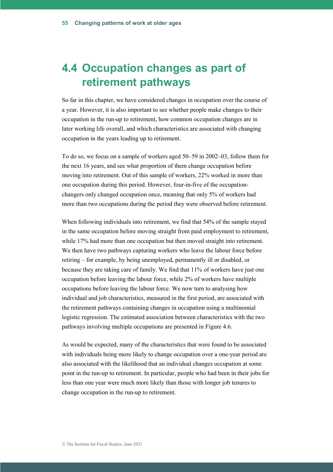## **4.4 Occupation changes as part of retirement pathways**

So far in this chapter, we have considered changes in occupation over the course of a year. However, it is also important to see whether people make changes to their occupation in the run-up to retirement, how common occupation changes are in later working life overall, and which characteristics are associated with changing occupation in the years leading up to retirement.

To do so, we focus on a sample of workers aged 50–59 in 2002–03, follow them for the next 16 years, and see what proportion of them change occupation before moving into retirement. Out of this sample of workers, 22% worked in more than one occupation during this period. However, four-in-five of the occupationchangers only changed occupation once, meaning that only 5% of workers had more than two occupations during the period they were observed before retirement.

When following individuals into retirement, we find that 54% of the sample stayed in the same occupation before moving straight from paid employment to retirement, while 17% had more than one occupation but then moved straight into retirement. We then have two pathways capturing workers who leave the labour force before retiring – for example, by being unemployed, permanently ill or disabled, or because they are taking care of family. We find that 11% of workers have just one occupation before leaving the labour force, while 2% of workers have multiple occupations before leaving the labour force. We now turn to analysing how individual and job characteristics, measured in the first period, are associated with the retirement pathways containing changes in occupation using a multinomial logistic regression. The estimated association between characteristics with the two pathways involving multiple occupations are presented in Figure 4.6.

As would be expected, many of the characteristics that were found to be associated with individuals being more likely to change occupation over a one-year period are also associated with the likelihood that an individual changes occupation at some point in the run-up to retirement. In particular, people who had been in their jobs for less than one year were much more likely than those with longer job tenures to change occupation in the run-up to retirement.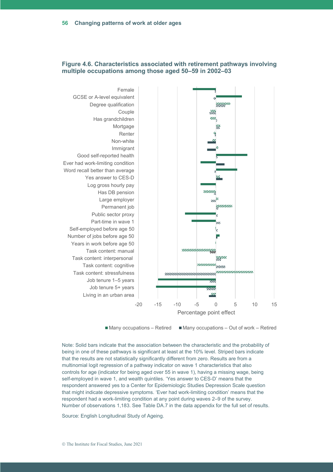

#### **Figure 4.6. Characteristics associated with retirement pathways involving multiple occupations among those aged 50–59 in 2002–03**

 $\blacksquare$  Many occupations – Retired  $\blacksquare$  Many occupations – Out of work – Retired

Note: Solid bars indicate that the association between the characteristic and the probability of being in one of these pathways is significant at least at the 10% level. Striped bars indicate that the results are not statistically significantly different from zero. Results are from a multinomial logit regression of a pathway indicator on wave 1 characteristics that also controls for age (indicator for being aged over 55 in wave 1), having a missing wage, being self-employed in wave 1, and wealth quintiles. 'Yes answer to CES-D' means that the respondent answered yes to a Center for Epidemiologic Studies Depression Scale question that might indicate depressive symptoms. 'Ever had work-limiting condition' means that the respondent had a work-limiting condition at any point during waves 2–9 of the survey. Number of observations 1,183. See Table DA.7 in the data appendix for the full set of results.

Source: English Longitudinal Study of Ageing.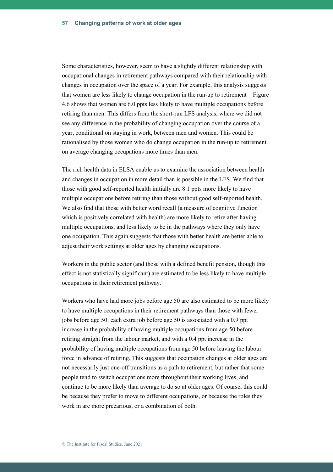Some characteristics, however, seem to have a slightly different relationship with occupational changes in retirement pathways compared with their relationship with changes in occupation over the space of a year. For example, this analysis suggests that women are less likely to change occupation in the run-up to retirement – Figure 4.6 shows that women are 6.0 ppts less likely to have multiple occupations before retiring than men. This differs from the short-run LFS analysis, where we did not see any difference in the probability of changing occupation over the course of a year, conditional on staying in work, between men and women. This could be rationalised by those women who do change occupation in the run-up to retirement on average changing occupations more times than men.

The rich health data in ELSA enable us to examine the association between health and changes in occupation in more detail than is possible in the LFS. We find that those with good self-reported health initially are 8.1 ppts more likely to have multiple occupations before retiring than those without good self-reported health. We also find that those with better word recall (a measure of cognitive function which is positively correlated with health) are more likely to retire after having multiple occupations, and less likely to be in the pathways where they only have one occupation. This again suggests that those with better health are better able to adjust their work settings at older ages by changing occupations.

Workers in the public sector (and those with a defined benefit pension, though this effect is not statistically significant) are estimated to be less likely to have multiple occupations in their retirement pathway.

Workers who have had more jobs before age 50 are also estimated to be more likely to have multiple occupations in their retirement pathways than those with fewer jobs before age 50: each extra job before age 50 is associated with a 0.9 ppt increase in the probability of having multiple occupations from age 50 before retiring straight from the labour market, and with a 0.4 ppt increase in the probability of having multiple occupations from age 50 before leaving the labour force in advance of retiring. This suggests that occupation changes at older ages are not necessarily just one-off transitions as a path to retirement, but rather that some people tend to switch occupations more throughout their working lives, and continue to be more likely than average to do so at older ages. Of course, this could be because they prefer to move to different occupations, or because the roles they work in are more precarious, or a combination of both.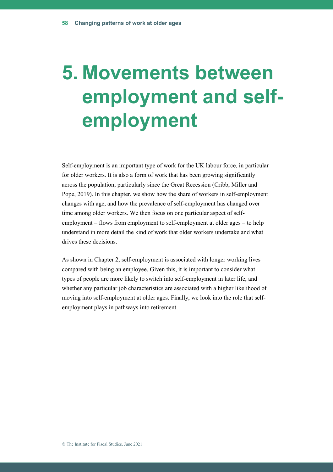# **5. Movements between employment and selfemployment**

Self-employment is an important type of work for the UK labour force, in particular for older workers. It is also a form of work that has been growing significantly across the population, particularly since the Great Recession (Cribb, Miller and Pope, 2019). In this chapter, we show how the share of workers in self-employment changes with age, and how the prevalence of self-employment has changed over time among older workers. We then focus on one particular aspect of selfemployment – flows from employment to self-employment at older ages – to help understand in more detail the kind of work that older workers undertake and what drives these decisions.

As shown in Chapter 2, self-employment is associated with longer working lives compared with being an employee. Given this, it is important to consider what types of people are more likely to switch into self-employment in later life, and whether any particular job characteristics are associated with a higher likelihood of moving into self-employment at older ages. Finally, we look into the role that selfemployment plays in pathways into retirement.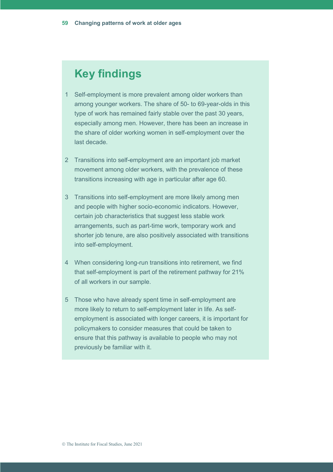## **Key findings**

- 1 Self-employment is more prevalent among older workers than among younger workers. The share of 50- to 69-year-olds in this type of work has remained fairly stable over the past 30 years, especially among men. However, there has been an increase in the share of older working women in self-employment over the last decade.
- 2 Transitions into self-employment are an important job market movement among older workers, with the prevalence of these transitions increasing with age in particular after age 60.
- 3 Transitions into self-employment are more likely among men and people with higher socio-economic indicators. However, certain job characteristics that suggest less stable work arrangements, such as part-time work, temporary work and shorter job tenure, are also positively associated with transitions into self-employment.
- 4 When considering long-run transitions into retirement, we find that self-employment is part of the retirement pathway for 21% of all workers in our sample.
- 5 Those who have already spent time in self-employment are more likely to return to self-employment later in life. As selfemployment is associated with longer careers, it is important for policymakers to consider measures that could be taken to ensure that this pathway is available to people who may not previously be familiar with it.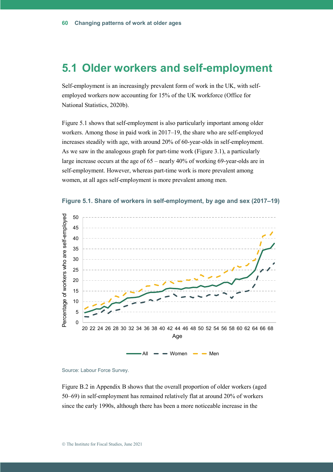### **5.1 Older workers and self-employment**

Self-employment is an increasingly prevalent form of work in the UK, with selfemployed workers now accounting for 15% of the UK workforce (Office for National Statistics, 2020b).

Figure 5.1 shows that self-employment is also particularly important among older workers. Among those in paid work in 2017–19, the share who are self-employed increases steadily with age, with around 20% of 60-year-olds in self-employment. As we saw in the analogous graph for part-time work (Figure 3.1), a particularly large increase occurs at the age of 65 – nearly 40% of working 69-year-olds are in self-employment. However, whereas part-time work is more prevalent among women, at all ages self-employment is more prevalent among men.





Source: Labour Force Survey.

Figure B.2 in Appendix B shows that the overall proportion of older workers (aged 50–69) in self-employment has remained relatively flat at around 20% of workers since the early 1990s, although there has been a more noticeable increase in the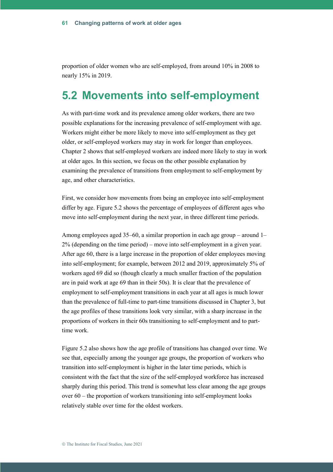proportion of older women who are self-employed, from around 10% in 2008 to nearly 15% in 2019.

## **5.2 Movements into self-employment**

As with part-time work and its prevalence among older workers, there are two possible explanations for the increasing prevalence of self-employment with age. Workers might either be more likely to move into self-employment as they get older, or self-employed workers may stay in work for longer than employees. Chapter 2 shows that self-employed workers are indeed more likely to stay in work at older ages. In this section, we focus on the other possible explanation by examining the prevalence of transitions from employment to self-employment by age, and other characteristics.

First, we consider how movements from being an employee into self-employment differ by age. Figure 5.2 shows the percentage of employees of different ages who move into self-employment during the next year, in three different time periods.

Among employees aged 35–60, a similar proportion in each age group – around 1– 2% (depending on the time period) – move into self-employment in a given year. After age 60, there is a large increase in the proportion of older employees moving into self-employment; for example, between 2012 and 2019, approximately 5% of workers aged 69 did so (though clearly a much smaller fraction of the population are in paid work at age 69 than in their 50s). It is clear that the prevalence of employment to self-employment transitions in each year at all ages is much lower than the prevalence of full-time to part-time transitions discussed in Chapter 3, but the age profiles of these transitions look very similar, with a sharp increase in the proportions of workers in their 60s transitioning to self-employment and to parttime work.

Figure 5.2 also shows how the age profile of transitions has changed over time. We see that, especially among the younger age groups, the proportion of workers who transition into self-employment is higher in the later time periods, which is consistent with the fact that the size of the self-employed workforce has increased sharply during this period. This trend is somewhat less clear among the age groups over 60 – the proportion of workers transitioning into self-employment looks relatively stable over time for the oldest workers.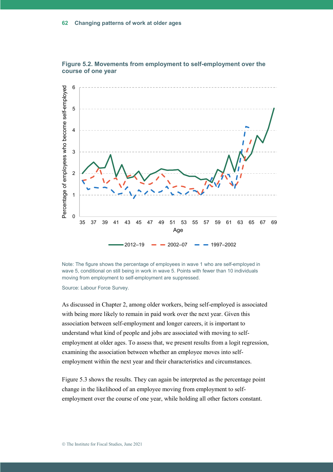



Note: The figure shows the percentage of employees in wave 1 who are self-employed in wave 5, conditional on still being in work in wave 5. Points with fewer than 10 individuals moving from employment to self-employment are suppressed.

Source: Labour Force Survey.

As discussed in Chapter 2, among older workers, being self-employed is associated with being more likely to remain in paid work over the next year. Given this association between self-employment and longer careers, it is important to understand what kind of people and jobs are associated with moving to selfemployment at older ages. To assess that, we present results from a logit regression, examining the association between whether an employee moves into selfemployment within the next year and their characteristics and circumstances.

Figure 5.3 shows the results. They can again be interpreted as the percentage point change in the likelihood of an employee moving from employment to selfemployment over the course of one year, while holding all other factors constant.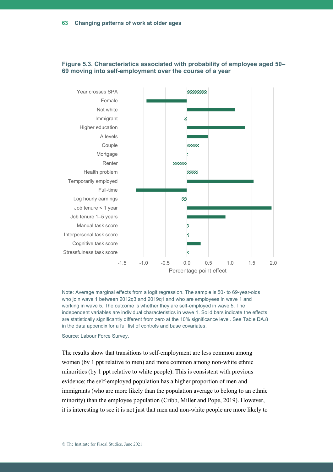

#### **Figure 5.3. Characteristics associated with probability of employee aged 50– 69 moving into self-employment over the course of a year**

Note: Average marginal effects from a logit regression. The sample is 50- to 69-year-olds who join wave 1 between 2012q3 and 2019q1 and who are employees in wave 1 and working in wave 5. The outcome is whether they are self-employed in wave 5. The independent variables are individual characteristics in wave 1. Solid bars indicate the effects are statistically significantly different from zero at the 10% significance level. See Table DA.8 in the data appendix for a full list of controls and base covariates.

Source: Labour Force Survey.

The results show that transitions to self-employment are less common among women (by 1 ppt relative to men) and more common among non-white ethnic minorities (by 1 ppt relative to white people). This is consistent with previous evidence; the self-employed population has a higher proportion of men and immigrants (who are more likely than the population average to belong to an ethnic minority) than the employee population (Cribb, Miller and Pope, 2019). However, it is interesting to see it is not just that men and non-white people are more likely to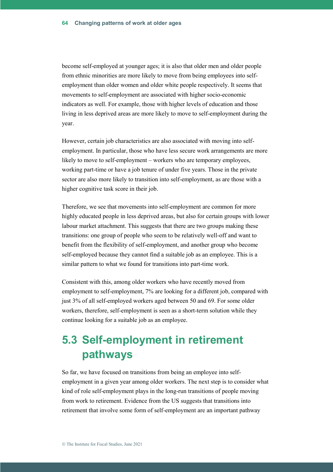become self-employed at younger ages; it is also that older men and older people from ethnic minorities are more likely to move from being employees into selfemployment than older women and older white people respectively. It seems that movements to self-employment are associated with higher socio-economic indicators as well. For example, those with higher levels of education and those living in less deprived areas are more likely to move to self-employment during the year.

However, certain job characteristics are also associated with moving into selfemployment. In particular, those who have less secure work arrangements are more likely to move to self-employment – workers who are temporary employees, working part-time or have a job tenure of under five years. Those in the private sector are also more likely to transition into self-employment, as are those with a higher cognitive task score in their job.

Therefore, we see that movements into self-employment are common for more highly educated people in less deprived areas, but also for certain groups with lower labour market attachment. This suggests that there are two groups making these transitions: one group of people who seem to be relatively well-off and want to benefit from the flexibility of self-employment, and another group who become self-employed because they cannot find a suitable job as an employee. This is a similar pattern to what we found for transitions into part-time work.

Consistent with this, among older workers who have recently moved from employment to self-employment, 7% are looking for a different job, compared with just 3% of all self-employed workers aged between 50 and 69. For some older workers, therefore, self-employment is seen as a short-term solution while they continue looking for a suitable job as an employee.

## **5.3 Self-employment in retirement pathways**

So far, we have focused on transitions from being an employee into selfemployment in a given year among older workers. The next step is to consider what kind of role self-employment plays in the long-run transitions of people moving from work to retirement. Evidence from the US suggests that transitions into retirement that involve some form of self-employment are an important pathway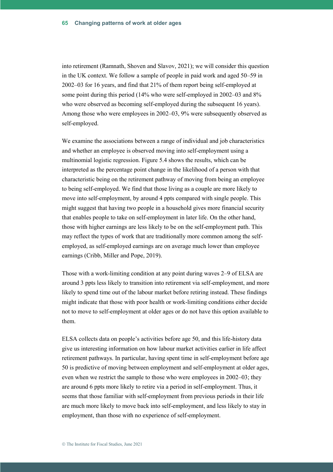into retirement (Ramnath, Shoven and Slavov, 2021); we will consider this question in the UK context. We follow a sample of people in paid work and aged 50–59 in 2002–03 for 16 years, and find that 21% of them report being self-employed at some point during this period (14% who were self-employed in 2002–03 and 8% who were observed as becoming self-employed during the subsequent 16 years). Among those who were employees in 2002–03, 9% were subsequently observed as self-employed.

We examine the associations between a range of individual and job characteristics and whether an employee is observed moving into self-employment using a multinomial logistic regression. Figure 5.4 shows the results, which can be interpreted as the percentage point change in the likelihood of a person with that characteristic being on the retirement pathway of moving from being an employee to being self-employed. We find that those living as a couple are more likely to move into self-employment, by around 4 ppts compared with single people. This might suggest that having two people in a household gives more financial security that enables people to take on self-employment in later life. On the other hand, those with higher earnings are less likely to be on the self-employment path. This may reflect the types of work that are traditionally more common among the selfemployed, as self-employed earnings are on average much lower than employee earnings (Cribb, Miller and Pope, 2019).

Those with a work-limiting condition at any point during waves 2–9 of ELSA are around 3 ppts less likely to transition into retirement via self-employment, and more likely to spend time out of the labour market before retiring instead. These findings might indicate that those with poor health or work-limiting conditions either decide not to move to self-employment at older ages or do not have this option available to them.

ELSA collects data on people's activities before age 50, and this life-history data give us interesting information on how labour market activities earlier in life affect retirement pathways. In particular, having spent time in self-employment before age 50 is predictive of moving between employment and self-employment at older ages, even when we restrict the sample to those who were employees in 2002–03; they are around 6 ppts more likely to retire via a period in self-employment. Thus, it seems that those familiar with self-employment from previous periods in their life are much more likely to move back into self-employment, and less likely to stay in employment, than those with no experience of self-employment.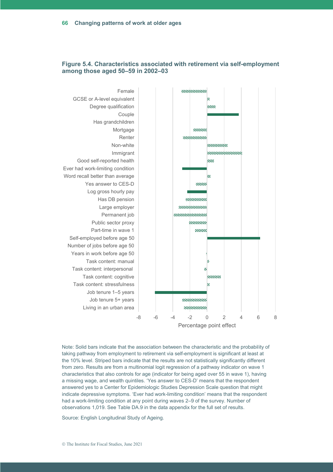

#### **Figure 5.4. Characteristics associated with retirement via self-employment among those aged 50–59 in 2002–03**

Note: Solid bars indicate that the association between the characteristic and the probability of taking pathway from employment to retirement via self-employment is significant at least at the 10% level. Striped bars indicate that the results are not statistically significantly different from zero. Results are from a multinomial logit regression of a pathway indicator on wave 1 characteristics that also controls for age (indicator for being aged over 55 in wave 1), having a missing wage, and wealth quintiles. 'Yes answer to CES-D' means that the respondent answered yes to a Center for Epidemiologic Studies Depression Scale question that might indicate depressive symptoms. 'Ever had work-limiting condition' means that the respondent had a work-limiting condition at any point during waves 2–9 of the survey. Number of observations 1,019. See Table DA.9 in the data appendix for the full set of results.

Source: English Longitudinal Study of Ageing.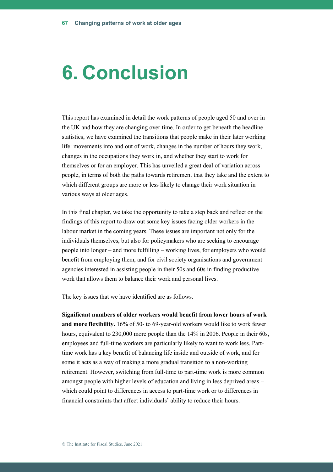# **6. Conclusion**

This report has examined in detail the work patterns of people aged 50 and over in the UK and how they are changing over time. In order to get beneath the headline statistics, we have examined the transitions that people make in their later working life: movements into and out of work, changes in the number of hours they work, changes in the occupations they work in, and whether they start to work for themselves or for an employer. This has unveiled a great deal of variation across people, in terms of both the paths towards retirement that they take and the extent to which different groups are more or less likely to change their work situation in various ways at older ages.

In this final chapter, we take the opportunity to take a step back and reflect on the findings of this report to draw out some key issues facing older workers in the labour market in the coming years. These issues are important not only for the individuals themselves, but also for policymakers who are seeking to encourage people into longer – and more fulfilling – working lives, for employers who would benefit from employing them, and for civil society organisations and government agencies interested in assisting people in their 50s and 60s in finding productive work that allows them to balance their work and personal lives.

The key issues that we have identified are as follows.

**Significant numbers of older workers would benefit from lower hours of work and more flexibility.** 16% of 50- to 69-year-old workers would like to work fewer hours, equivalent to 230,000 more people than the 14% in 2006. People in their 60s, employees and full-time workers are particularly likely to want to work less. Parttime work has a key benefit of balancing life inside and outside of work, and for some it acts as a way of making a more gradual transition to a non-working retirement. However, switching from full-time to part-time work is more common amongst people with higher levels of education and living in less deprived areas – which could point to differences in access to part-time work or to differences in financial constraints that affect individuals' ability to reduce their hours.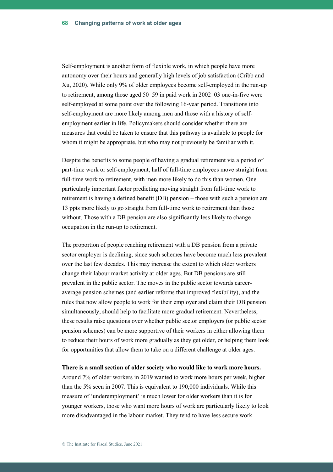Self-employment is another form of flexible work, in which people have more autonomy over their hours and generally high levels of job satisfaction (Cribb and Xu, 2020). While only 9% of older employees become self-employed in the run-up to retirement, among those aged 50–59 in paid work in 2002–03 one-in-five were self-employed at some point over the following 16-year period. Transitions into self-employment are more likely among men and those with a history of selfemployment earlier in life. Policymakers should consider whether there are measures that could be taken to ensure that this pathway is available to people for whom it might be appropriate, but who may not previously be familiar with it.

Despite the benefits to some people of having a gradual retirement via a period of part-time work or self-employment, half of full-time employees move straight from full-time work to retirement, with men more likely to do this than women. One particularly important factor predicting moving straight from full-time work to retirement is having a defined benefit (DB) pension – those with such a pension are 13 ppts more likely to go straight from full-time work to retirement than those without. Those with a DB pension are also significantly less likely to change occupation in the run-up to retirement.

The proportion of people reaching retirement with a DB pension from a private sector employer is declining, since such schemes have become much less prevalent over the last few decades. This may increase the extent to which older workers change their labour market activity at older ages. But DB pensions are still prevalent in the public sector. The moves in the public sector towards careeraverage pension schemes (and earlier reforms that improved flexibility), and the rules that now allow people to work for their employer and claim their DB pension simultaneously, should help to facilitate more gradual retirement. Nevertheless, these results raise questions over whether public sector employers (or public sector pension schemes) can be more supportive of their workers in either allowing them to reduce their hours of work more gradually as they get older, or helping them look for opportunities that allow them to take on a different challenge at older ages.

#### **There is a small section of older society who would like to work more hours.**

Around 7% of older workers in 2019 wanted to work more hours per week, higher than the 5% seen in 2007. This is equivalent to 190,000 individuals. While this measure of 'underemployment' is much lower for older workers than it is for younger workers, those who want more hours of work are particularly likely to look more disadvantaged in the labour market. They tend to have less secure work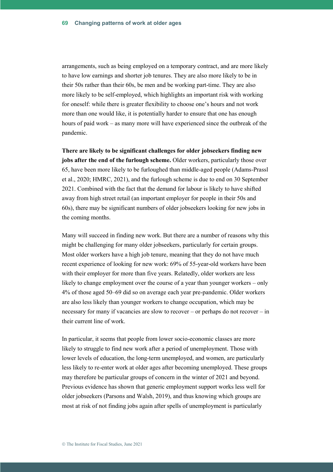arrangements, such as being employed on a temporary contract, and are more likely to have low earnings and shorter job tenures. They are also more likely to be in their 50s rather than their 60s, be men and be working part-time. They are also more likely to be self-employed, which highlights an important risk with working for oneself: while there is greater flexibility to choose one's hours and not work more than one would like, it is potentially harder to ensure that one has enough hours of paid work – as many more will have experienced since the outbreak of the pandemic.

**There are likely to be significant challenges for older jobseekers finding new jobs after the end of the furlough scheme.** Older workers, particularly those over 65, have been more likely to be furloughed than middle-aged people (Adams-Prassl et al., 2020; HMRC, 2021), and the furlough scheme is due to end on 30 September 2021. Combined with the fact that the demand for labour is likely to have shifted away from high street retail (an important employer for people in their 50s and 60s), there may be significant numbers of older jobseekers looking for new jobs in the coming months.

Many will succeed in finding new work. But there are a number of reasons why this might be challenging for many older jobseekers, particularly for certain groups. Most older workers have a high job tenure, meaning that they do not have much recent experience of looking for new work: 69% of 55-year-old workers have been with their employer for more than five years. Relatedly, older workers are less likely to change employment over the course of a year than younger workers – only 4% of those aged 50–69 did so on average each year pre-pandemic. Older workers are also less likely than younger workers to change occupation, which may be necessary for many if vacancies are slow to recover – or perhaps do not recover – in their current line of work.

In particular, it seems that people from lower socio-economic classes are more likely to struggle to find new work after a period of unemployment. Those with lower levels of education, the long-term unemployed, and women, are particularly less likely to re-enter work at older ages after becoming unemployed. These groups may therefore be particular groups of concern in the winter of 2021 and beyond. Previous evidence has shown that generic employment support works less well for older jobseekers (Parsons and Walsh, 2019), and thus knowing which groups are most at risk of not finding jobs again after spells of unemployment is particularly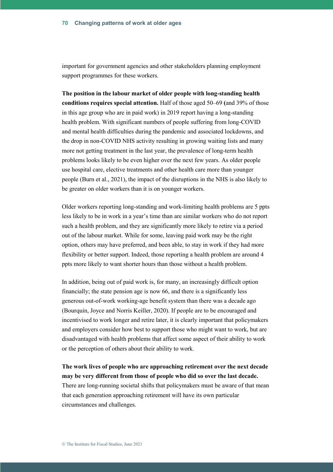important for government agencies and other stakeholders planning employment support programmes for these workers.

**The position in the labour market of older people with long-standing health conditions requires special attention.** Half of those aged 50–69 **(**and 39% of those in this age group who are in paid work) in 2019 report having a long-standing health problem. With significant numbers of people suffering from long-COVID and mental health difficulties during the pandemic and associated lockdowns, and the drop in non-COVID NHS activity resulting in growing waiting lists and many more not getting treatment in the last year, the prevalence of long-term health problems looks likely to be even higher over the next few years. As older people use hospital care, elective treatments and other health care more than younger people (Burn et al., 2021), the impact of the disruptions in the NHS is also likely to be greater on older workers than it is on younger workers.

Older workers reporting long-standing and work-limiting health problems are 5 ppts less likely to be in work in a year's time than are similar workers who do not report such a health problem, and they are significantly more likely to retire via a period out of the labour market. While for some, leaving paid work may be the right option, others may have preferred, and been able, to stay in work if they had more flexibility or better support. Indeed, those reporting a health problem are around 4 ppts more likely to want shorter hours than those without a health problem.

In addition, being out of paid work is, for many, an increasingly difficult option financially; the state pension age is now 66, and there is a significantly less generous out-of-work working-age benefit system than there was a decade ago (Bourquin, Joyce and Norris Keiller, 2020). If people are to be encouraged and incentivised to work longer and retire later, it is clearly important that policymakers and employers consider how best to support those who might want to work, but are disadvantaged with health problems that affect some aspect of their ability to work or the perception of others about their ability to work.

**The work lives of people who are approaching retirement over the next decade may be very different from those of people who did so over the last decade.** There are long-running societal shifts that policymakers must be aware of that mean that each generation approaching retirement will have its own particular circumstances and challenges.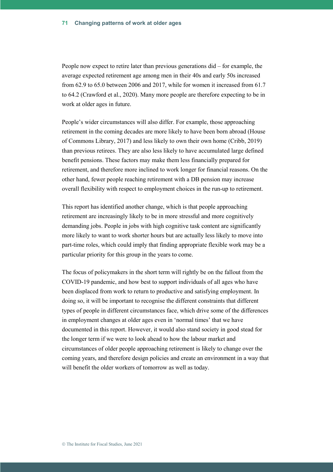People now expect to retire later than previous generations did – for example, the average expected retirement age among men in their 40s and early 50s increased from 62.9 to 65.0 between 2006 and 2017, while for women it increased from 61.7 to 64.2 (Crawford et al., 2020). Many more people are therefore expecting to be in work at older ages in future.

People's wider circumstances will also differ. For example, those approaching retirement in the coming decades are more likely to have been born abroad (House of Commons Library, 2017) and less likely to own their own home (Cribb, 2019) than previous retirees. They are also less likely to have accumulated large defined benefit pensions. These factors may make them less financially prepared for retirement, and therefore more inclined to work longer for financial reasons. On the other hand, fewer people reaching retirement with a DB pension may increase overall flexibility with respect to employment choices in the run-up to retirement.

This report has identified another change, which is that people approaching retirement are increasingly likely to be in more stressful and more cognitively demanding jobs. People in jobs with high cognitive task content are significantly more likely to want to work shorter hours but are actually less likely to move into part-time roles, which could imply that finding appropriate flexible work may be a particular priority for this group in the years to come.

The focus of policymakers in the short term will rightly be on the fallout from the COVID-19 pandemic, and how best to support individuals of all ages who have been displaced from work to return to productive and satisfying employment. In doing so, it will be important to recognise the different constraints that different types of people in different circumstances face, which drive some of the differences in employment changes at older ages even in 'normal times' that we have documented in this report. However, it would also stand society in good stead for the longer term if we were to look ahead to how the labour market and circumstances of older people approaching retirement is likely to change over the coming years, and therefore design policies and create an environment in a way that will benefit the older workers of tomorrow as well as today.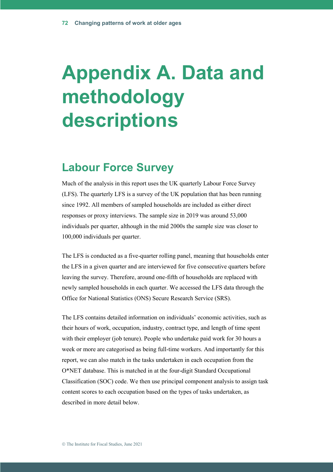# **Appendix A. Data and methodology descriptions**

## **Labour Force Survey**

Much of the analysis in this report uses the UK quarterly Labour Force Survey (LFS). The quarterly LFS is a survey of the UK population that has been running since 1992. All members of sampled households are included as either direct responses or proxy interviews. The sample size in 2019 was around 53,000 individuals per quarter, although in the mid 2000s the sample size was closer to 100,000 individuals per quarter.

The LFS is conducted as a five-quarter rolling panel, meaning that households enter the LFS in a given quarter and are interviewed for five consecutive quarters before leaving the survey. Therefore, around one-fifth of households are replaced with newly sampled households in each quarter. We accessed the LFS data through the Office for National Statistics (ONS) Secure Research Service (SRS).

The LFS contains detailed information on individuals' economic activities, such as their hours of work, occupation, industry, contract type, and length of time spent with their employer (job tenure). People who undertake paid work for 30 hours a week or more are categorised as being full-time workers. And importantly for this report, we can also match in the tasks undertaken in each occupation from the O\*NET database. This is matched in at the four-digit Standard Occupational Classification (SOC) code. We then use principal component analysis to assign task content scores to each occupation based on the types of tasks undertaken, as described in more detail below.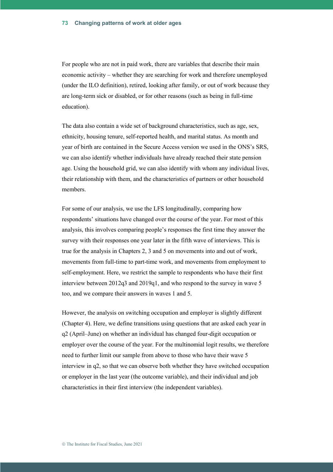For people who are not in paid work, there are variables that describe their main economic activity – whether they are searching for work and therefore unemployed (under the ILO definition), retired, looking after family, or out of work because they are long-term sick or disabled, or for other reasons (such as being in full-time education).

The data also contain a wide set of background characteristics, such as age, sex, ethnicity, housing tenure, self-reported health, and marital status. As month and year of birth are contained in the Secure Access version we used in the ONS's SRS, we can also identify whether individuals have already reached their state pension age. Using the household grid, we can also identify with whom any individual lives, their relationship with them, and the characteristics of partners or other household members.

For some of our analysis, we use the LFS longitudinally, comparing how respondents' situations have changed over the course of the year. For most of this analysis, this involves comparing people's responses the first time they answer the survey with their responses one year later in the fifth wave of interviews. This is true for the analysis in Chapters 2, 3 and 5 on movements into and out of work, movements from full-time to part-time work, and movements from employment to self-employment. Here, we restrict the sample to respondents who have their first interview between 2012q3 and 2019q1, and who respond to the survey in wave 5 too, and we compare their answers in waves 1 and 5.

However, the analysis on switching occupation and employer is slightly different (Chapter 4). Here, we define transitions using questions that are asked each year in q2 (April–June) on whether an individual has changed four-digit occupation or employer over the course of the year. For the multinomial logit results, we therefore need to further limit our sample from above to those who have their wave 5 interview in q2, so that we can observe both whether they have switched occupation or employer in the last year (the outcome variable), and their individual and job characteristics in their first interview (the independent variables).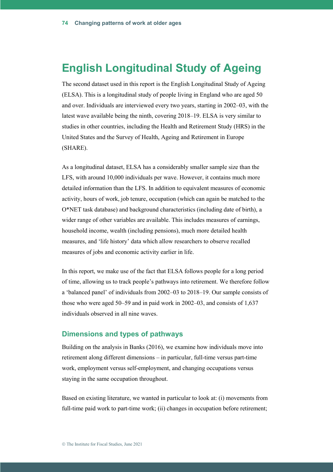### **English Longitudinal Study of Ageing**

The second dataset used in this report is the English Longitudinal Study of Ageing (ELSA). This is a longitudinal study of people living in England who are aged 50 and over. Individuals are interviewed every two years, starting in 2002–03, with the latest wave available being the ninth, covering 2018–19. ELSA is very similar to studies in other countries, including the Health and Retirement Study (HRS) in the United States and the Survey of Health, Ageing and Retirement in Europe (SHARE).

As a longitudinal dataset, ELSA has a considerably smaller sample size than the LFS, with around 10,000 individuals per wave. However, it contains much more detailed information than the LFS. In addition to equivalent measures of economic activity, hours of work, job tenure, occupation (which can again be matched to the O\*NET task database) and background characteristics (including date of birth), a wider range of other variables are available. This includes measures of earnings, household income, wealth (including pensions), much more detailed health measures, and 'life history' data which allow researchers to observe recalled measures of jobs and economic activity earlier in life.

In this report, we make use of the fact that ELSA follows people for a long period of time, allowing us to track people's pathways into retirement. We therefore follow a 'balanced panel' of individuals from 2002–03 to 2018–19. Our sample consists of those who were aged 50–59 and in paid work in 2002–03, and consists of 1,637 individuals observed in all nine waves.

#### **Dimensions and types of pathways**

Building on the analysis in Banks (2016), we examine how individuals move into retirement along different dimensions – in particular, full-time versus part-time work, employment versus self-employment, and changing occupations versus staying in the same occupation throughout.

Based on existing literature, we wanted in particular to look at: (i) movements from full-time paid work to part-time work; (ii) changes in occupation before retirement;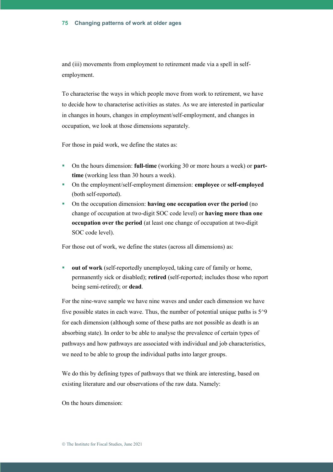#### **Changing patterns of work at older ages 75**

and (iii) movements from employment to retirement made via a spell in selfemployment.

To characterise the ways in which people move from work to retirement, we have to decide how to characterise activities as states. As we are interested in particular in changes in hours, changes in employment/self-employment, and changes in occupation, we look at those dimensions separately.

For those in paid work, we define the states as:

- On the hours dimension: **full-time** (working 30 or more hours a week) or **parttime** (working less than 30 hours a week).
- On the employment/self-employment dimension: **employee** or **self-employed** (both self-reported).
- On the occupation dimension: **having one occupation over the period** (no change of occupation at two-digit SOC code level) or **having more than one occupation over the period** (at least one change of occupation at two-digit SOC code level).

For those out of work, we define the states (across all dimensions) as:

**out of work** (self-reportedly unemployed, taking care of family or home, permanently sick or disabled); **retired** (self-reported; includes those who report being semi-retired); or **dead**.

For the nine-wave sample we have nine waves and under each dimension we have five possible states in each wave. Thus, the number of potential unique paths is  $5^{\prime}9$ for each dimension (although some of these paths are not possible as death is an absorbing state). In order to be able to analyse the prevalence of certain types of pathways and how pathways are associated with individual and job characteristics, we need to be able to group the individual paths into larger groups.

We do this by defining types of pathways that we think are interesting, based on existing literature and our observations of the raw data. Namely:

On the hours dimension: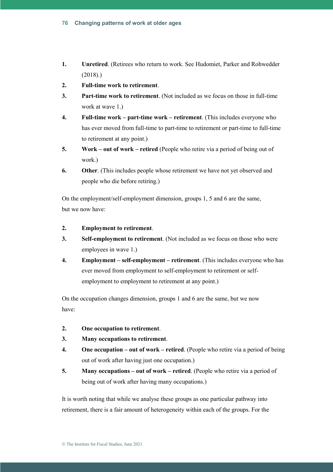- **1. Unretired**. (Retirees who return to work. See Hudomiet, Parker and Rohwedder (2018).)
- **2. Full-time work to retirement**.
- **3. Part-time work to retirement**. (Not included as we focus on those in full-time work at wave 1.)
- **4. Full-time work – part-time work – retirement**. (This includes everyone who has ever moved from full-time to part-time to retirement or part-time to full-time to retirement at any point.)
- **5. Work – out of work – retired** (People who retire via a period of being out of work.)
- **6. Other**. (This includes people whose retirement we have not yet observed and people who die before retiring.)

On the employment/self-employment dimension, groups 1, 5 and 6 are the same, but we now have:

- **2. Employment to retirement**.
- **3. Self-employment to retirement**. (Not included as we focus on those who were employees in wave 1.)
- **4. Employment – self-employment – retirement**. (This includes everyone who has ever moved from employment to self-employment to retirement or selfemployment to employment to retirement at any point.)

On the occupation changes dimension, groups 1 and 6 are the same, but we now have:

- **2. One occupation to retirement**.
- **3. Many occupations to retirement**.
- **4. One occupation – out of work – retired**. (People who retire via a period of being out of work after having just one occupation.)
- **5. Many occupations out of work retired**. (People who retire via a period of being out of work after having many occupations.)

It is worth noting that while we analyse these groups as one particular pathway into retirement, there is a fair amount of heterogeneity within each of the groups. For the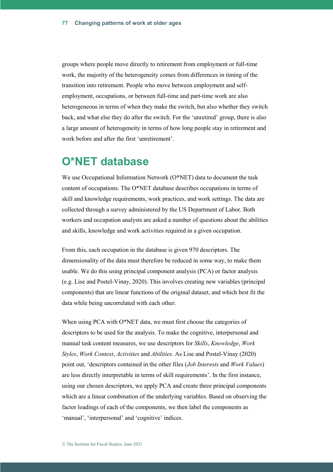groups where people move directly to retirement from employment or full-time work, the majority of the heterogeneity comes from differences in timing of the transition into retirement. People who move between employment and selfemployment, occupations, or between full-time and part-time work are also heterogeneous in terms of when they make the switch, but also whether they switch back, and what else they do after the switch. For the 'unretired' group, there is also a large amount of heterogeneity in terms of how long people stay in retirement and work before and after the first 'unretirement'.

### **O\*NET database**

We use Occupational Information Network (O\*NET) data to document the task content of occupations. The O\*NET database describes occupations in terms of skill and knowledge requirements, work practices, and work settings. The data are collected through a survey administered by the US Department of Labor. Both workers and occupation analysts are asked a number of questions about the abilities and skills, knowledge and work activities required in a given occupation.

From this, each occupation in the database is given 970 descriptors. The dimensionality of the data must therefore be reduced in some way, to make them usable. We do this using principal component analysis (PCA) or factor analysis (e.g. Lise and Postel-Vinay, 2020). This involves creating new variables (principal components) that are linear functions of the original dataset, and which best fit the data while being uncorrelated with each other.

When using PCA with O\*NET data, we must first choose the categories of descriptors to be used for the analysis. To make the cognitive, interpersonal and manual task content measures, we use descriptors for *Skills*, *Knowledge*, *Work Styles*, *Work Context*, *Activities* and *Abilities*. As Lise and Postel-Vinay (2020) point out, 'descriptors contained in the other files (*Job Interests* and *Work Values*) are less directly interpretable in terms of skill requirements'. In the first instance, using our chosen descriptors, we apply PCA and create three principal components which are a linear combination of the underlying variables. Based on observing the factor loadings of each of the components, we then label the components as 'manual', 'interpersonal' and 'cognitive' indices.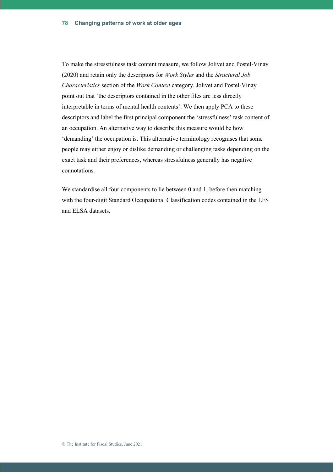To make the stressfulness task content measure, we follow Jolivet and Postel-Vinay (2020) and retain only the descriptors for *Work Styles* and the *Structural Job Characteristics* section of the *Work Context* category. Jolivet and Postel-Vinay point out that 'the descriptors contained in the other files are less directly interpretable in terms of mental health contents'. We then apply PCA to these descriptors and label the first principal component the 'stressfulness' task content of an occupation. An alternative way to describe this measure would be how 'demanding' the occupation is. This alternative terminology recognises that some people may either enjoy or dislike demanding or challenging tasks depending on the exact task and their preferences, whereas stressfulness generally has negative connotations.

We standardise all four components to lie between 0 and 1, before then matching with the four-digit Standard Occupational Classification codes contained in the LFS and ELSA datasets.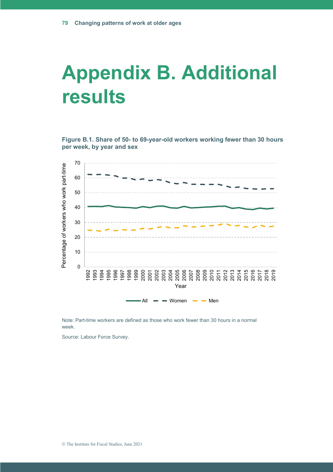## **Appendix B. Additional results**

**Figure B.1. Share of 50- to 69-year-old workers working fewer than 30 hours per week, by year and sex**



Note: Part-time workers are defined as those who work fewer than 30 hours in a normal week.

Source: Labour Force Survey.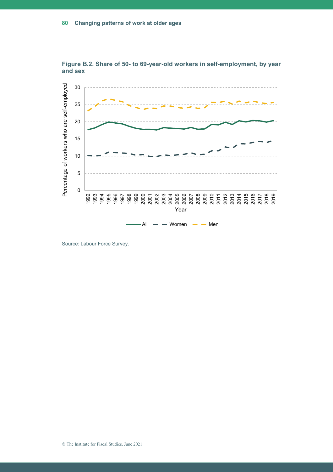

**Figure B.2. Share of 50- to 69-year-old workers in self-employment, by year and sex**

Source: Labour Force Survey.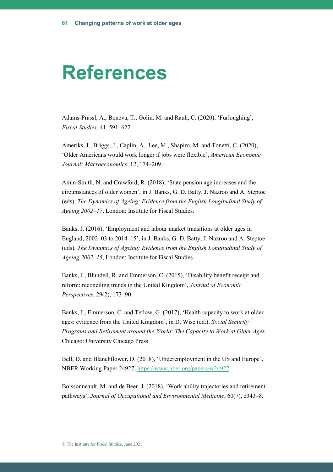## **References**

Adams-Prassl, A., Boneva, T., Golin, M. and Rauh, C. (2020), 'Furloughing', *Fiscal Studies*, 41, 591–622.

Ameriks, J., Briggs, J., Caplin, A., Lee, M., Shapiro, M. and Tonetti, C. (2020), 'Older Americans would work longer if jobs were flexible', *American Economic Journal: Macroeconomics*, 12, 174–209.

Amin-Smith, N. and Crawford, R. (2018), 'State pension age increases and the circumstances of older women', in J. Banks, G. D. Batty, J. Nazroo and A. Steptoe (eds), *The Dynamics of Ageing: Evidence from the English Longitudinal Study of Ageing 2002–17*, London: Institute for Fiscal Studies.

Banks, J. (2016), 'Employment and labour market transitions at older ages in England, 2002–03 to 2014–15', in J. Banks, G. D. Batty, J. Nazroo and A. Steptoe (eds), *The Dynamics of Ageing: Evidence from the English Longitudinal Study of Ageing 2002–15*, London: Institute for Fiscal Studies.

Banks, J., Blundell, R. and Emmerson, C. (2015), 'Disability benefit receipt and reform: reconciling trends in the United Kingdom', *Journal of Economic Perspectives*, 29(2), 173–90.

Banks, J., Emmerson, C. and Tetlow, G. (2017), 'Health capacity to work at older ages: evidence from the United Kingdom', in D. Wise (ed.), *Social Security Programs and Retirement around the World: The Capacity to Work at Older Ages*, Chicago: University Chicago Press.

Bell, D. and Blanchflower, D. (2018), 'Underemployment in the US and Europe', NBER Working Paper 24927, [https://www.nber.org/papers/w24927.](https://www.nber.org/papers/w24927)

Boissonneault, M. and de Beer, J. (2018), 'Work ability trajectories and retirement pathways', *Journal of Occupational and Environmental Medicine*, 60(7), e343–8.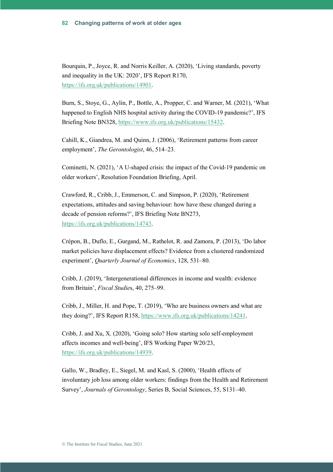Bourquin, P., Joyce, R. and Norris Keiller, A. (2020), 'Living standards, poverty and inequality in the UK: 2020', IFS Report R170, [https://ifs.org.uk/publications/14901.](https://ifs.org.uk/publications/14901)

Burn, S., Stoye, G., Aylin, P., Bottle, A., Propper, C. and Warner, M. (2021), 'What happened to English NHS hospital activity during the COVID-19 pandemic?', IFS Briefing Note BN328, [https://www.ifs.org.uk/publications/15432.](https://www.ifs.org.uk/publications/15432)

Cahill, K., Giandrea, M. and Quinn, J. (2006), 'Retirement patterns from career employment', *The Gerontologist*, 46, 514–23.

Cominetti, N. (2021), 'A U-shaped crisis: the impact of the Covid-19 pandemic on older workers', Resolution Foundation Briefing, April.

Crawford, R., Cribb, J., Emmerson, C. and Simpson, P. (2020), 'Retirement expectations, attitudes and saving behaviour: how have these changed during a decade of pension reforms?', IFS Briefing Note BN273, [https://ifs.org.uk/publications/14743.](https://ifs.org.uk/publications/14743)

Crépon, B., Duflo, E., Gurgand, M., Rathelot, R. and Zamora, P. (2013), 'Do labor market policies have displacement effects? Evidence from a clustered randomized experiment', *Quarterly Journal of Economics*, 128, 531–80.

Cribb, J. (2019), 'Intergenerational differences in income and wealth: evidence from Britain', *Fiscal Studie*s, 40, 275–99.

Cribb, J., Miller, H. and Pope, T. (2019), 'Who are business owners and what are they doing?', IFS Report R158, [https://www.ifs.org.uk/publications/14241.](https://www.ifs.org.uk/publications/14241)

Cribb, J. and Xu, X. (2020), 'Going solo? How starting solo self-employment affects incomes and well-being', IFS Working Paper W20/23, [https://ifs.org.uk/publications/14939.](https://ifs.org.uk/publications/14939)

Gallo, W., Bradley, E., Siegel, M. and Kasl, S. (2000), 'Health effects of involuntary job loss among older workers: findings from the Health and Retirement Survey', *Journals of Gerontology*, Series B, Social Sciences, 55, S131–40.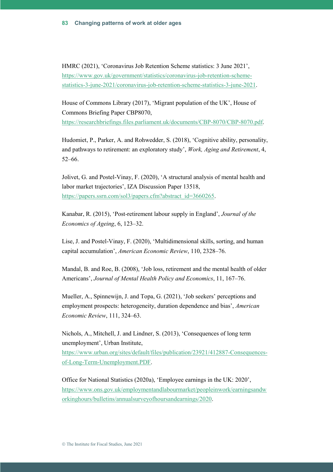HMRC (2021), 'Coronavirus Job Retention Scheme statistics: 3 June 2021', [https://www.gov.uk/government/statistics/coronavirus-job-retention-scheme](https://www.gov.uk/government/statistics/coronavirus-job-retention-scheme-statistics-3-june-2021/coronavirus-job-retention-scheme-statistics-3-june-2021)[statistics-3-june-2021/coronavirus-job-retention-scheme-statistics-3-june-2021.](https://www.gov.uk/government/statistics/coronavirus-job-retention-scheme-statistics-3-june-2021/coronavirus-job-retention-scheme-statistics-3-june-2021)

House of Commons Library (2017), 'Migrant population of the UK', House of Commons Briefing Paper CBP8070,

[https://researchbriefings.files.parliament.uk/documents/CBP-8070/CBP-8070.pdf.](https://researchbriefings.files.parliament.uk/documents/CBP-8070/CBP-8070.pdf)

Hudomiet, P., Parker, A. and Rohwedder, S. (2018), 'Cognitive ability, personality, and pathways to retirement: an exploratory study', *Work, Aging and Retirement*, 4, 52–66.

Jolivet, G. and Postel-Vinay, F. (2020), 'A structural analysis of mental health and labor market trajectories', IZA Discussion Paper 13518, [https://papers.ssrn.com/sol3/papers.cfm?abstract\\_id=3660265.](https://papers.ssrn.com/sol3/papers.cfm?abstract_id=3660265)

Kanabar, R. (2015), 'Post-retirement labour supply in England', *Journal of the Economics of Ageing*, 6, 123–32.

Lise, J. and Postel-Vinay, F. (2020), 'Multidimensional skills, sorting, and human capital accumulation', *American Economic Review*, 110, 2328–76.

Mandal, B. and Roe, B. (2008), 'Job loss, retirement and the mental health of older Americans', *Journal of Mental Health Policy and Economics*, 11, 167–76.

Mueller, A., Spinnewijn, J. and Topa, G. (2021), 'Job seekers' perceptions and employment prospects: heterogeneity, duration dependence and bias', *American Economic Review*, 111, 324–63.

Nichols, A., Mitchell, J. and Lindner, S. (2013), 'Consequences of long term unemployment', Urban Institute,

[https://www.urban.org/sites/default/files/publication/23921/412887-Consequences](https://www.urban.org/sites/default/files/publication/23921/412887-Consequences-of-Long-Term-Unemployment.PDF)[of-Long-Term-Unemployment.PDF.](https://www.urban.org/sites/default/files/publication/23921/412887-Consequences-of-Long-Term-Unemployment.PDF)

Office for National Statistics (2020a), 'Employee earnings in the UK: 2020', [https://www.ons.gov.uk/employmentandlabourmarket/peopleinwork/earningsandw](https://www.ons.gov.uk/employmentandlabourmarket/peopleinwork/earningsandworkinghours/bulletins/annualsurveyofhoursandearnings/2020) [orkinghours/bulletins/annualsurveyofhoursandearnings/2020.](https://www.ons.gov.uk/employmentandlabourmarket/peopleinwork/earningsandworkinghours/bulletins/annualsurveyofhoursandearnings/2020)